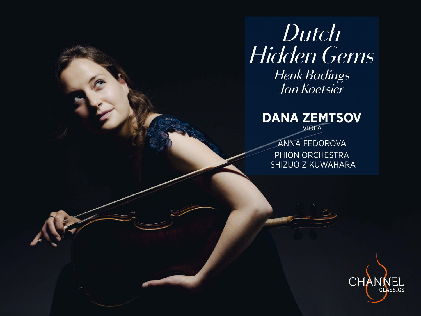*Dutch Hidden Gems Henk Badings Jan Koetsier*

> **DANA ZEMTSOV**  VIOLA

ANNA FEDOROVA PHION ORCHESTRA SHIZUO Z KUWAHARA

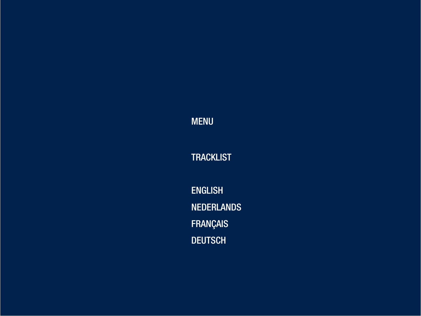<span id="page-1-0"></span>MENU

**[TRACKLIST](#page-3-0)** 

[ENGLISH](#page-5-0)  [NEDERLANDS](#page-17-0)  [FRANÇAIS](#page-28-0) **[DEUTSCH](#page-40-0)**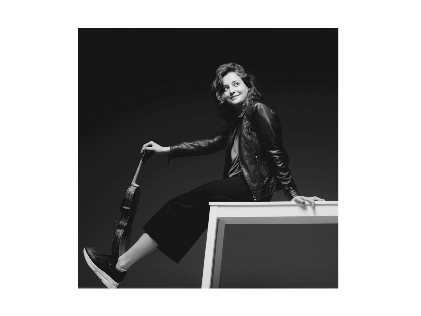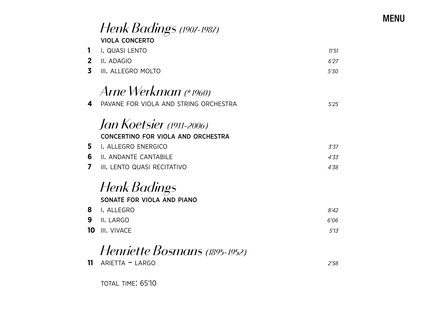### [MENU](#page-1-0)

<span id="page-3-0"></span>

|                         | Henk Badings (1907-1987)<br><b>VIOLA CONCERTO</b> |       |
|-------------------------|---------------------------------------------------|-------|
| 1                       | I. QUASI LENTO                                    | 11'51 |
| $\overline{2}$          | II. ADAGIO                                        | 6'27  |
| $\overline{\mathbf{3}}$ | III. ALLEGRO MOLTO                                | 5'30  |
|                         | Arne Werkman (* 1960)                             |       |
| 4                       | PAVANE FOR VIOLA AND STRING ORCHESTRA             | 5'25  |
|                         | <b>Jan Koetsier</b> (1911-2006)                   |       |
|                         | <b>CONCERTINO FOR VIOLA AND ORCHESTRA</b>         |       |
| 5                       | I. ALLEGRO ENERGICO                               | 3'37  |
| 6                       | II. ANDANTE CANTABILE                             | 4'33  |
| 7                       | III. LENTO QUASI RECITATIVO                       | 4'38  |
|                         | <i>Henk Badings</i>                               |       |
|                         | SONATE FOR VIOLA AND PIANO                        |       |
| 8                       | I. ALLEGRO                                        | 8'42  |
| 9                       | II. LARGO                                         | 6'06  |
| 10                      | III. VIVACE                                       | 5'13  |
|                         | <i>Henriette Bosmans (1895-1952)</i>              |       |
| 11                      | ARIETTA - LARGO                                   | 2'58  |
|                         |                                                   |       |

TOTAL TIME: 65'10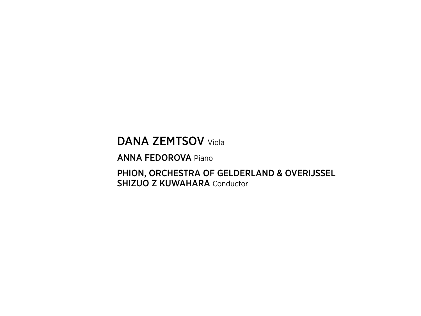### DANA ZEMTSOV Viola

ANNA FEDOROVA Piano

PHION, ORCHESTRA OF GELDERLAND & OVERIJSSEL SHIZUO Z KUWAHARA Conductor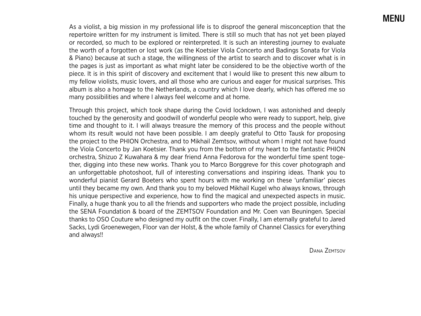<span id="page-5-0"></span>As a violist, a big mission in my professional life is to disproof the general misconception that the repertoire written for my instrument is limited. There is still so much that has not yet been played or recorded, so much to be explored or reinterpreted. It is such an interesting journey to evaluate the worth of a forgotten or lost work (as the Koetsier Viola Concerto and Badings Sonata for Viola & Piano) because at such a stage, the willingness of the artist to search and to discover what is in the pages is just as important as what might later be considered to be the objective worth of the piece. It is in this spirit of discovery and excitement that I would like to present this new album to my fellow violists, music lovers, and all those who are curious and eager for musical surprises. This album is also a homage to the Netherlands, a country which I love dearly, which has offered me so many possibilities and where I always feel welcome and at home.

Through this project, which took shape during the Covid lockdown, I was astonished and deeply touched by the generosity and goodwill of wonderful people who were ready to support, help, give time and thought to it. I will always treasure the memory of this process and the people without whom its result would not have been possible. I am deeply grateful to Otto Tausk for proposing the project to the PHION Orchestra, and to Mikhail Zemtsov, without whom I might not have found the Viola Concerto by Jan Koetsier. Thank you from the bottom of my heart to the fantastic PHION orchestra, Shizuo Z Kuwahara & my dear friend Anna Fedorova for the wonderful time spent together, digging into these new works. Thank you to Marco Borggreve for this cover photograph and an unforgettable photoshoot, full of interesting conversations and inspiring ideas. Thank you to wonderful pianist Gerard Boeters who spent hours with me working on these 'unfamiliar' pieces until they became my own. And thank you to my beloved Mikhail Kugel who always knows, through his unique perspective and experience, how to find the magical and unexpected aspects in music. Finally, a huge thank you to all the friends and supporters who made the project possible, including the SENA Foundation & board of the ZEMTSOV Foundation and Mr. Coen van Beuningen. Special thanks to OSO Couture who designed my outfit on the cover. Finally, I am eternally grateful to Jared Sacks, Lydi Groenewegen, Floor van der Holst, & the whole family of Channel Classics for everything and always!!

DANA ZEMTSOV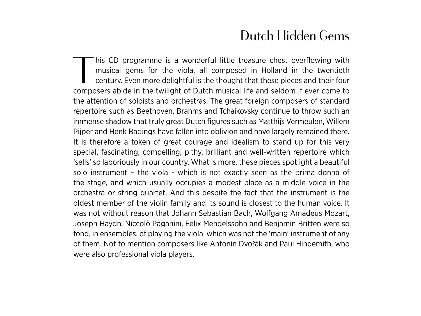## Dutch Hidden Gems

This CD programme is a wonderful little treasure chest overflowing with<br>musical gems for the viola, all composed in Holland in the twentieth<br>century. Even more delightful is the thought that these pieces and their four<br>com musical gems for the viola, all composed in Holland in the twentieth century. Even more delightful is the thought that these pieces and their four composers abide in the twilight of Dutch musical life and seldom if ever come to the attention of soloists and orchestras. The great foreign composers of standard repertoire such as Beethoven, Brahms and Tchaikovsky continue to throw such an immense shadow that truly great Dutch figures such as Matthijs Vermeulen, Willem Pijper and Henk Badings have fallen into oblivion and have largely remained there. It is therefore a token of great courage and idealism to stand up for this very special, fascinating, compelling, pithy, brilliant and well-written repertoire which 'sells' so laboriously in our country. What is more, these pieces spotlight a beautiful solo instrument – the viola - which is not exactly seen as the prima donna of the stage, and which usually occupies a modest place as a middle voice in the orchestra or string quartet. And this despite the fact that the instrument is the oldest member of the violin family and its sound is closest to the human voice. It was not without reason that Johann Sebastian Bach, Wolfgang Amadeus Mozart, Joseph Haydn, Niccolò Paganini, Felix Mendelssohn and Benjamin Britten were so fond, in ensembles, of playing the viola, which was not the 'main' instrument of any of them. Not to mention composers like Antonín Dvořák and Paul Hindemith, who were also professional viola players.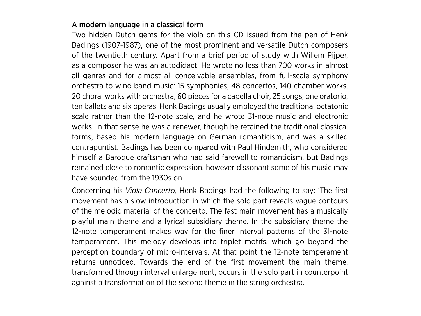#### A modern language in a classical form

Two hidden Dutch gems for the viola on this CD issued from the pen of Henk Badings (1907-1987), one of the most prominent and versatile Dutch composers of the twentieth century. Apart from a brief period of study with Willem Pijper, as a composer he was an autodidact. He wrote no less than 700 works in almost all genres and for almost all conceivable ensembles, from full-scale symphony orchestra to wind band music: 15 symphonies, 48 concertos, 140 chamber works, 20 choral works with orchestra, 60 pieces for a capella choir, 25 songs, one oratorio, ten ballets and six operas. Henk Badings usually employed the traditional octatonic scale rather than the 12-note scale, and he wrote 31-note music and electronic works. In that sense he was a renewer, though he retained the traditional classical forms, based his modern language on German romanticism, and was a skilled contrapuntist. Badings has been compared with Paul Hindemith, who considered himself a Baroque craftsman who had said farewell to romanticism, but Badings remained close to romantic expression, however dissonant some of his music may have sounded from the 1930s on.

Concerning his *Viola Concerto*, Henk Badings had the following to say: 'The first movement has a slow introduction in which the solo part reveals vague contours of the melodic material of the concerto. The fast main movement has a musically playful main theme and a lyrical subsidiary theme. In the subsidiary theme the 12-note temperament makes way for the finer interval patterns of the 31-note temperament. This melody develops into triplet motifs, which go beyond the perception boundary of micro-intervals. At that point the 12-note temperament returns unnoticed. Towards the end of the first movement the main theme. transformed through interval enlargement, occurs in the solo part in counterpoint against a transformation of the second theme in the string orchestra.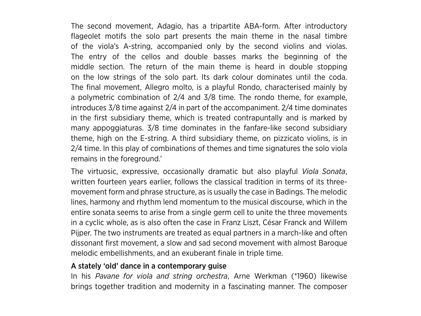The second movement, Adagio, has a tripartite ABA-form. After introductory flageolet motifs the solo part presents the main theme in the nasal timbre of the viola's A-string, accompanied only by the second violins and violas. The entry of the cellos and double basses marks the beginning of the middle section. The return of the main theme is heard in double stopping on the low strings of the solo part. Its dark colour dominates until the coda. The final movement, Allegro molto, is a playful Rondo, characterised mainly by a polymetric combination of 2/4 and 3/8 time. The rondo theme, for example, introduces 3/8 time against 2/4 in part of the accompaniment. 2/4 time dominates in the first subsidiary theme, which is treated contrapuntally and is marked by many appoggiaturas. 3/8 time dominates in the fanfare-like second subsidiary theme, high on the E-string. A third subsidiary theme, on pizzicato violins, is in 2/4 time. In this play of combinations of themes and time signatures the solo viola remains in the foreground.'

The virtuosic, expressive, occasionally dramatic but also playful *Viola Sonata*, written fourteen years earlier, follows the classical tradition in terms of its threemovement form and phrase structure, as is usually the case in Badings. The melodic lines, harmony and rhythm lend momentum to the musical discourse, which in the entire sonata seems to arise from a single germ cell to unite the three movements in a cyclic whole, as is also often the case in Franz Liszt, César Franck and Willem Pijper. The two instruments are treated as equal partners in a march-like and often dissonant first movement, a slow and sad second movement with almost Baroque melodic embellishments, and an exuberant finale in triple time.

#### A stately 'old' dance in a contemporary guise

In his *Pavane for viola and string orchestra*, Arne Werkman (\*1960) likewise brings together tradition and modernity in a fascinating manner. The composer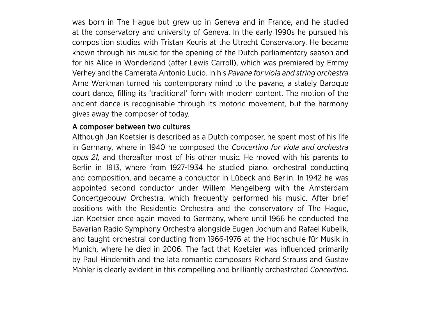was born in The Hague but grew up in Geneva and in France, and he studied at the conservatory and university of Geneva. In the early 1990s he pursued his composition studies with Tristan Keuris at the Utrecht Conservatory. He became known through his music for the opening of the Dutch parliamentary season and for his Alice in Wonderland (after Lewis Carroll), which was premiered by Emmy Verhey and the Camerata Antonio Lucio. In his *Pavane for viola and string orchestra* Arne Werkman turned his contemporary mind to the pavane, a stately Baroque court dance, filling its 'traditional' form with modern content. The motion of the ancient dance is recognisable through its motoric movement, but the harmony gives away the composer of today.

#### A composer between two cultures

Although Jan Koetsier is described as a Dutch composer, he spent most of his life in Germany, where in 1940 he composed the *Concertino for viola and orchestra opus 21,* and thereafter most of his other music. He moved with his parents to Berlin in 1913, where from 1927-1934 he studied piano, orchestral conducting and composition, and became a conductor in Lübeck and Berlin. In 1942 he was appointed second conductor under Willem Mengelberg with the Amsterdam Concertgebouw Orchestra, which frequently performed his music. After brief positions with the Residentie Orchestra and the conservatory of The Hague, Jan Koetsier once again moved to Germany, where until 1966 he conducted the Bavarian Radio Symphony Orchestra alongside Eugen Jochum and Rafael Kubelik, and taught orchestral conducting from 1966-1976 at the Hochschule für Musik in Munich, where he died in 2006. The fact that Koetsier was influenced primarily by Paul Hindemith and the late romantic composers Richard Strauss and Gustav Mahler is clearly evident in this compelling and brilliantly orchestrated *Concertino*.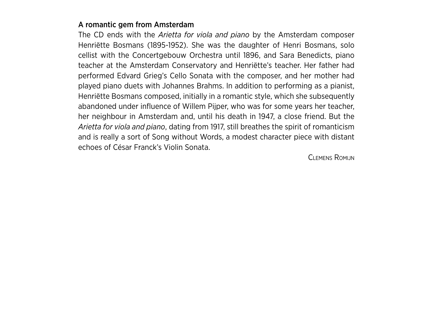#### A romantic gem from Amsterdam

The CD ends with the *Arietta for viola and piano* by the Amsterdam composer Henriëtte Bosmans (1895-1952). She was the daughter of Henri Bosmans, solo cellist with the Concertgebouw Orchestra until 1896, and Sara Benedicts, piano teacher at the Amsterdam Conservatory and Henriëtte's teacher. Her father had performed Edvard Grieg's Cello Sonata with the composer, and her mother had played piano duets with Johannes Brahms. In addition to performing as a pianist, Henriëtte Bosmans composed, initially in a romantic style, which she subsequently abandoned under influence of Willem Pijper, who was for some years her teacher, her neighbour in Amsterdam and, until his death in 1947, a close friend. But the *Arietta for viola and piano*, dating from 1917, still breathes the spirit of romanticism and is really a sort of Song without Words, a modest character piece with distant echoes of César Franck's Violin Sonata.

CLEMENS ROMIJN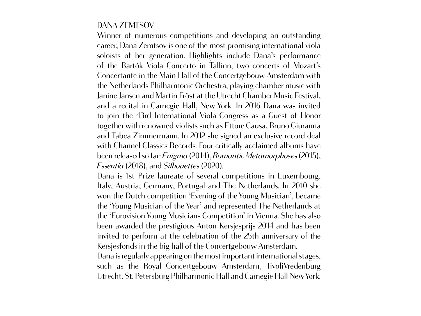#### DANA ZEMTSOV

Winner of numerous competitions and developing an outstanding career, Dana Zemtsov is one of the most promising international viola soloists of her generation. Highlights include Dana's performance of the Bartók Viola Concerto in Tallinn, two concerts of Mozart's Concertante in the Main Hall of the Concertgebouw Amsterdam with the Netherlands Philharmonic Orchestra, playing chamber music with Janine Jansen and Martin Fröst at the Utrecht Chamber Music Festival, and a recital in Carnegie Hall, New York. In 2016 Dana was invited to join the 43rd International Viola Congress as a Guest of Honor together with renowned violists such as Ettore Causa, Bruno Giuranna and Tabea Zimmermann. In 2012 she signed an exclusive record deal with Channel Classics Records. Four critically acclaimed albums have been released so far: *Enigma* (2014), *Romantic Metamorphoses* (2015), *Essentia* (2018), and *Silhouettes* (2020).

Dana is 1st Prize laureate of several competitions in Luxembourg, Italy, Austria, Germany, Portugal and The Netherlands. In 2010 she won the Dutch competition 'Evening of the Young Musician', became the 'Young Musician of the Year' and represented The Netherlands at the 'Eurovision Young Musicians Competition' in Vienna. She has also been awarded the prestigious Anton Kersjesprijs 2014 and has been invited to perform at the celebration of the 25th anniversary of the Kersjesfonds in the big hall of the Concertgebouw Amsterdam.

Dana is regularly appearing on the most important international stages, such as the Royal Concertgebouw Amsterdam, TivoliVredenburg Utrecht, St. Petersburg Philharmonic Hall and Carnegie Hall New York.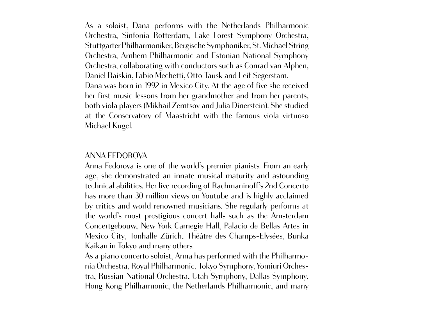As a soloist, Dana performs with the Netherlands Philharmonic Orchestra, Sinfonia Rotterdam, Lake Forest Symphony Orchestra, Stuttgarter Philharmoniker, Bergische Symphoniker, St. Michael String Orchestra, Arnhem Philharmonic and Estonian National Symphony Orchestra, collaborating with conductors such as Conrad van Alphen, Daniel Raiskin, Fabio Mechetti, Otto Tausk and Leif Segerstam. Dana was born in 1992 in Mexico City. At the age of five she received her first music lessons from her grandmother and from her parents, both viola players (Mikhail Zemtsov and Julia Dinerstein). She studied at the Conservatory of Maastricht with the famous viola virtuoso Michael Kugel.

#### ANNA FEDOROVA

Anna Fedorova is one of the world's premier pianists. From an early age, she demonstrated an innate musical maturity and astounding technical abilities. Her live recording of Rachmaninoff's 2nd Concerto has more than 30 million views on Youtube and is highly acclaimed by critics and world renowned musicians. She regularly performs at the world's most prestigious concert halls such as the Amsterdam Concertgebouw, New York Carnegie Hall, Palacio de Bellas Artes in Mexico City, Tonhalle Zürich, Théâtre des Champs-Elysées, Bunka Kaikan in Tokyo and many others.

As a piano concerto soloist, Anna has performed with the Philharmonia Orchestra, Royal Philharmonic, Tokyo Symphony, Yomiuri Orchestra, Russian National Orchestra, Utah Symphony, Dallas Symphony, Hong Kong Philharmonic, the Netherlands Philharmonic, and many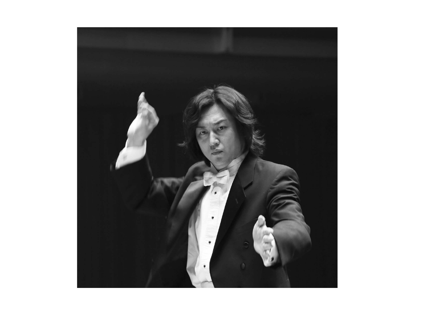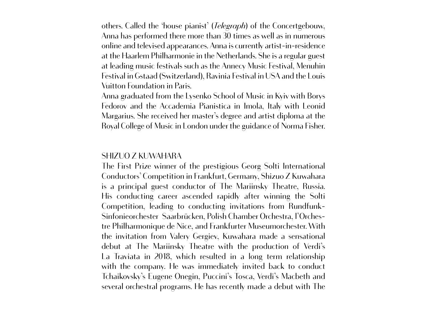others. Called the 'house pianist' (*Telegraph*) of the Concertgebouw, Anna has performed there more than 30 times as well as in numerous online and televised appearances. Anna is currently artist-in-residence at the Haarlem Philharmonie in the Netherlands. She is a regular guest at leading music festivals such as the Annecy Music Festival, Menuhin Festival in Gstaad (Switzerland), Ravinia Festival in USA and the Louis Vuitton Foundation in Paris.

Anna graduated from the Lysenko School of Music in Kyiv with Borys Fedorov and the Accademia Pianistica in Imola, Italy with Leonid Margarius. She received her master's degree and artist diploma at the Royal College of Music in London under the guidance of Norma Fisher.

#### SHIZUO Z KUWAHARA

The First Prize winner of the prestigious Georg Solti International Conductors' Competition in Frankfurt, Germany, Shizuo Z Kuwahara is a principal guest conductor of The Mariinsky Theatre, Russia. His conducting career ascended rapidly after winning the Solti Competition, leading to conducting invitations from Rundfunk-Sinfonieorchester Saarbrücken, Polish Chamber Orchestra, l'Orchestre Philharmonique de Nice, and Frankfurter Museumorchester. With the invitation from Valery Gergiev, Kuwahara made a sensational debut at The Mariinsky Theatre with the production of Verdi's La Traviata in 2018, which resulted in a long term relationship with the company. He was immediately invited back to conduct Tchaikovsky's Eugene Onegin, Puccini's Tosca, Verdi's Macbeth and several orchestral programs. He has recently made a debut with The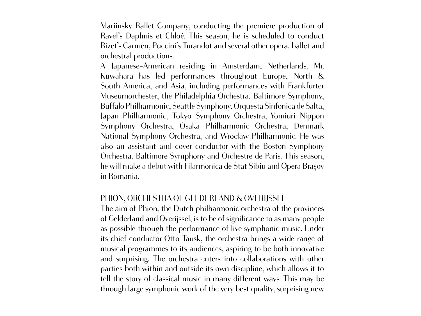Mariinsky Ballet Company, conducting the premiere production of Ravel's Daphnis et Chloé. This season, he is scheduled to conduct Bizet's Carmen, Puccini's Turandot and several other opera, ballet and orchestral productions.

A Japanese-American residing in Amsterdam, Netherlands, Mr. Kuwahara has led performances throughout Europe, North & South America, and Asia, including performances with Frankfurter Museumorchester, the Philadelphia Orchestra, Baltimore Symphony, Buffalo Philharmonic, Seattle Symphony, Orquesta Sinfonica de Salta, Japan Philharmonic, Tokyo Symphony Orchestra, Yomiuri Nippon Symphony Orchestra, Osaka Philharmonic Orchestra, Denmark National Symphony Orchestra, and Wrocław Philharmonic. He was also an assistant and cover conductor with the Boston Symphony Orchestra, Baltimore Symphony and Orchestre de Paris. This season, he will make a debut with Filarmonica de Stat Sibiu and Opera Brașov in Romania.

#### PHION, ORCHESTRA OF GELDERLAND & OVERIJSSEL

The aim of Phion, the Dutch philharmonic orchestra of the provinces of Gelderland and Overijssel, is to be of significance to as many people as possible through the performance of live symphonic music. Under its chief conductor Otto Tausk, the orchestra brings a wide range of musical programmes to its audiences, aspiring to be both innovative and surprising. The orchestra enters into collaborations with other parties both within and outside its own discipline, which allows it to tell the story of classical music in many different ways. This may be through large symphonic work of the very best quality, surprising new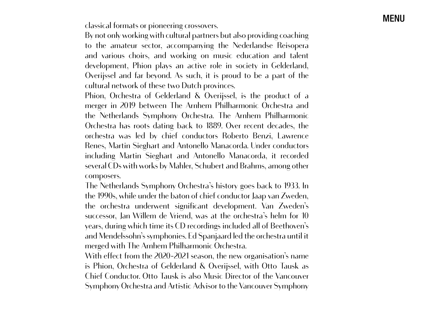classical formats or pioneering crossovers.

By not only working with cultural partners but also providing coaching to the amateur sector, accompanying the Nederlandse Reisopera and various choirs, and working on music education and talent development, Phion plays an active role in society in Gelderland, Overijssel and far beyond. As such, it is proud to be a part of the cultural network of these two Dutch provinces.

Phion, Orchestra of Gelderland & Overijssel, is the product of a merger in 2019 between The Arnhem Philharmonic Orchestra and the Netherlands Symphony Orchestra. The Arnhem Philharmonic Orchestra has roots dating back to 1889. Over recent decades, the orchestra was led by chief conductors Roberto Benzi, Lawrence Renes, Martin Sieghart and Antonello Manacorda. Under conductors including Martin Sieghart and Antonello Manacorda, it recorded several CDs with works by Mahler, Schubert and Brahms, among other composers.

The Netherlands Symphony Orchestra's history goes back to 1933. In the 1990s, while under the baton of chief conductor Jaap van Zweden, the orchestra underwent significant development. Van Zweden's successor, Jan Willem de Vriend, was at the orchestra's helm for 10 years, during which time its CD recordings included all of Beethoven's and Mendelssohn's symphonies. Ed Spanjaard led the orchestra until it merged with The Arnhem Philharmonic Orchestra.

With effect from the 2020-2021 season, the new organisation's name is Phion, Orchestra of Gelderland & Overijssel, with Otto Tausk as Chief Conductor. Otto Tausk is also Music Director of the Vancouver Symphony Orchestra and Artistic Advisor to the Vancouver Symphony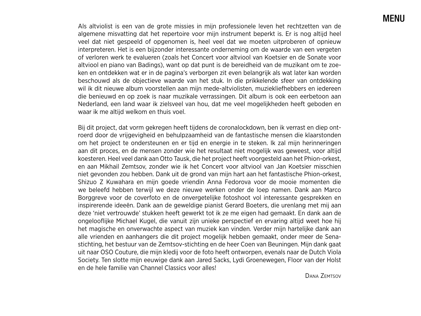<span id="page-17-0"></span>Als altviolist is een van de grote missies in mijn professionele leven het rechtzetten van de algemene misvatting dat het repertoire voor mijn instrument beperkt is. Er is nog altijd heel veel dat niet gespeeld of opgenomen is, heel veel dat we moeten uitproberen of opnieuw interpreteren. Het is een bijzonder interessante onderneming om de waarde van een vergeten of verloren werk te evalueren (zoals het Concert voor altviool van Koetsier en de Sonate voor altviool en piano van Badings), want op dat punt is de bereidheid van de muzikant om te zoeken en ontdekken wat er in de pagina's verborgen zit even belangrijk als wat later kan worden beschouwd als de objectieve waarde van het stuk. In die prikkelende sfeer van ontdekking wil ik dit nieuwe album voorstellen aan mijn mede-altviolisten, muziekliefhebbers en iedereen die benieuwd en op zoek is naar muzikale verrassingen. Dit album is ook een eerbetoon aan Nederland, een land waar ik zielsveel van hou, dat me veel mogelijkheden heeft geboden en waar ik me altijd welkom en thuis voel.

Bij dit project, dat vorm gekregen heeft tijdens de coronalockdown, ben ik verrast en diep ontroerd door de vrijgevigheid en behulpzaamheid van de fantastische mensen die klaarstonden om het project te ondersteunen en er tijd en energie in te steken. Ik zal mijn herinneringen aan dit proces, en de mensen zonder wie het resultaat niet mogelijk was geweest, voor altijd koesteren. Heel veel dank aan Otto Tausk, die het project heeft voorgesteld aan het Phion-orkest, en aan Mikhail Zemtsov, zonder wie ik het Concert voor altviool van Jan Koetsier misschien niet gevonden zou hebben. Dank uit de grond van mijn hart aan het fantastische Phion-orkest, Shizuo Z Kuwahara en mijn goede vriendin Anna Fedorova voor de mooie momenten die we beleefd hebben terwijl we deze nieuwe werken onder de loep namen. Dank aan Marco Borggreve voor de coverfoto en de onvergetelijke fotoshoot vol interessante gesprekken en inspirerende ideeën. Dank aan de geweldige pianist Gerard Boeters, die urenlang met mij aan deze 'niet vertrouwde' stukken heeft gewerkt tot ik ze me eigen had gemaakt. En dank aan de ongelooflijke Michael Kugel, die vanuit zijn unieke perspectief en ervaring altijd weet hoe hij het magische en onverwachte aspect van muziek kan vinden. Verder mijn hartelijke dank aan alle vrienden en aanhangers die dit project mogelijk hebben gemaakt, onder meer de Senastichting, het bestuur van de Zemtsov-stichting en de heer Coen van Beuningen. Mijn dank gaat uit naar OSO Couture, die mijn kledij voor de foto heeft ontworpen, evenals naar de Dutch Viola Society. Ten slotte mijn eeuwige dank aan Jared Sacks, Lydi Groenewegen, Floor van der Holst en de hele familie van Channel Classics voor alles!

DANA ZEMTSOV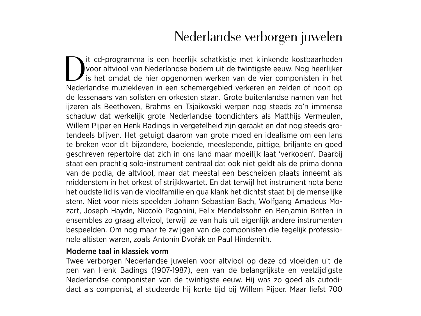# Nederlandse verborgen juwelen

Dit cd-programma is een heerlijk schatkistje met klinkende kostbaarheden<br>
voor altviool van Nederlandse bodem uit de twintigste eeuw. Nog heerlijker<br>
is het omdat de hier opgenomen werken van de vier componisten in het<br>
Ne voor altviool van Nederlandse bodem uit de twintigste eeuw. Nog heerlijker is het omdat de hier opgenomen werken van de vier componisten in het Nederlandse muziekleven in een schemergebied verkeren en zelden of nooit op de lessenaars van solisten en orkesten staan. Grote buitenlandse namen van het ijzeren als Beethoven, Brahms en Tsjaikovski werpen nog steeds zo'n immense schaduw dat werkelijk grote Nederlandse toondichters als Matthijs Vermeulen, Willem Pijper en Henk Badings in vergetelheid zijn geraakt en dat nog steeds grotendeels blijven. Het getuigt daarom van grote moed en idealisme om een lans te breken voor dit bijzondere, boeiende, meeslepende, pittige, briljante en goed geschreven repertoire dat zich in ons land maar moeilijk laat 'verkopen'. Daarbij staat een prachtig solo-instrument centraal dat ook niet geldt als de prima donna van de podia, de altviool, maar dat meestal een bescheiden plaats inneemt als middenstem in het orkest of strijkkwartet. En dat terwijl het instrument nota bene het oudste lid is van de vioolfamilie en qua klank het dichtst staat bij de menselijke stem. Niet voor niets speelden Johann Sebastian Bach, Wolfgang Amadeus Mozart, Joseph Haydn, Niccolò Paganini, Felix Mendelssohn en Benjamin Britten in ensembles zo graag altviool, terwijl ze van huis uit eigenlijk andere instrumenten bespeelden. Om nog maar te zwijgen van de componisten die tegelijk professionele altisten waren, zoals Antonín Dvořák en Paul Hindemith.

#### Moderne taal in klassiek vorm

Twee verborgen Nederlandse juwelen voor altviool op deze cd vloeiden uit de pen van Henk Badings (1907-1987), een van de belangrijkste en veelzijdigste Nederlandse componisten van de twintigste eeuw. Hij was zo goed als autodidact als componist, al studeerde hij korte tijd bij Willem Pijper. Maar liefst 700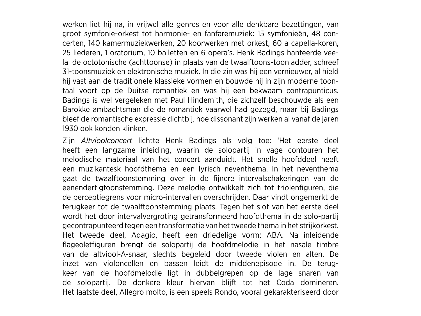werken liet hij na, in vrijwel alle genres en voor alle denkbare bezettingen, van groot symfonie-orkest tot harmonie- en fanfaremuziek: 15 symfonieën, 48 concerten, 140 kamermuziekwerken, 20 koorwerken met orkest, 60 a capella-koren, 25 liederen, 1 oratorium, 10 balletten en 6 opera's. Henk Badings hanteerde veelal de octotonische (achttoonse) in plaats van de twaalftoons-toonladder, schreef 31-toonsmuziek en elektronische muziek. In die zin was hij een vernieuwer, al hield hij vast aan de traditionele klassieke vormen en bouwde hij in zijn moderne toontaal voort op de Duitse romantiek en was hij een bekwaam contrapunticus. Badings is wel vergeleken met Paul Hindemith, die zichzelf beschouwde als een Barokke ambachtsman die de romantiek vaarwel had gezegd, maar bij Badings bleef de romantische expressie dichtbij, hoe dissonant zijn werken al vanaf de jaren 1930 ook konden klinken.

Zijn *Altvioolconcert* lichtte Henk Badings als volg toe: 'Het eerste deel heeft een langzame inleiding, waarin de solopartij in vage contouren het melodische materiaal van het concert aanduidt. Het snelle hoofddeel heeft een muzikantesk hoofdthema en een lyrisch neventhema. In het neventhema gaat de twaalftoonstemming over in de fijnere intervalschakeringen van de eenendertigtoonstemming. Deze melodie ontwikkelt zich tot triolenfiguren, die de perceptiegrens voor micro-intervallen overschrijden. Daar vindt ongemerkt de terugkeer tot de twaalftoonstemming plaats. Tegen het slot van het eerste deel wordt het door intervalvergroting getransformeerd hoofdthema in de solo-partij gecontrapunteerd tegen een transformatie van het tweede thema in het strijkorkest. Het tweede deel, Adagio, heeft een driedelige vorm: ABA. Na inleidende flageoletfiguren brengt de solopartij de hoofdmelodie in het nasale timbre van de altviool-A-snaar, slechts begeleid door tweede violen en alten. De inzet van violoncellen en bassen leidt de middenepisode in. De terugkeer van de hoofdmelodie ligt in dubbelgrepen op de lage snaren van de solopartij. De donkere kleur hiervan blijft tot het Coda domineren. Het laatste deel, Allegro molto, is een speels Rondo, vooral gekarakteriseerd door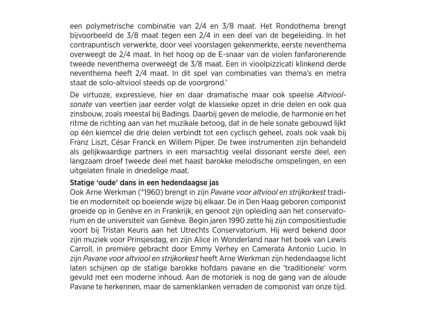een polymetrische combinatie van 2/4 en 3/8 maat. Het Rondothema brengt bijvoorbeeld de 3/8 maat tegen een 2/4 in een deel van de begeleiding. In het contrapuntisch verwerkte, door veel voorslagen gekenmerkte, eerste neventhema overweegt de 2/4 maat. In het hoog op de E-snaar van de violen fanfaronerende tweede neventhema overweegt de 3/8 maat. Een in vioolpizzicati klinkend derde neventhema heeft 2/4 maat. In dit spel van combinaties van thema's en metra staat de solo-altviool steeds op de voorgrond.'

De virtuoze, expressieve, hier en daar dramatische maar ook speelse *Altvioolsonate* van veertien jaar eerder volgt de klassieke opzet in drie delen en ook qua zinsbouw, zoals meestal bij Badings. Daarbij geven de melodie, de harmonie en het ritme de richting aan van het muzikale betoog, dat in de hele sonate gebouwd lijkt op één kiemcel die drie delen verbindt tot een cyclisch geheel, zoals ook vaak bij Franz Liszt, César Franck en Willem Pijper. De twee instrumenten zijn behandeld als gelijkwaardige partners in een marsachtig veelal dissonant eerste deel, een langzaam droef tweede deel met haast barokke melodische omspelingen, en een uitgelaten finale in driedelige maat.

#### Statige 'oude' dans in een hedendaagse jas

Ook Arne Werkman (\*1960) brengt in zijn *Pavane voor altviool en strijkorkest* traditie en moderniteit op boeiende wijze bij elkaar. De in Den Haag geboren componist groeide op in Genève en in Frankrijk, en genoot zijn opleiding aan het conservatorium en de universiteit van Genève. Begin jaren 1990 zette hij zijn compositiestudie voort bij Tristan Keuris aan het Utrechts Conservatorium. Hij werd bekend door zijn muziek voor Prinsjesdag, en zijn Alice in Wonderland naar het boek van Lewis Carroll, in première gebracht door Emmy Verhey en Camerata Antonio Lucio. In zijn *Pavane voor altviool en strijkorkest* heeft Arne Werkman zijn hedendaagse licht laten schijnen op de statige barokke hofdans pavane en die 'traditionele' vorm gevuld met een moderne inhoud. Aan de motoriek is nog de gang van de aloude Pavane te herkennen, maar de samenklanken verraden de componist van onze tijd.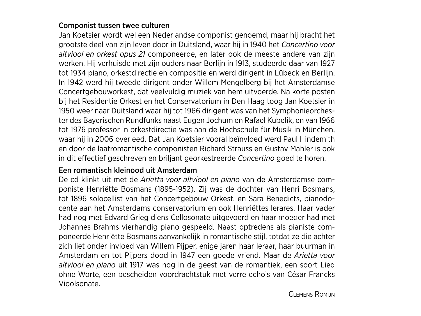#### Componist tussen twee culturen

Jan Koetsier wordt wel een Nederlandse componist genoemd, maar hij bracht het grootste deel van zijn leven door in Duitsland, waar hij in 1940 het *Concertino voor altviool en orkest opus 21* componeerde, en later ook de meeste andere van zijn werken. Hij verhuisde met zijn ouders naar Berlijn in 1913, studeerde daar van 1927 tot 1934 piano, orkestdirectie en compositie en werd dirigent in Lübeck en Berlijn. In 1942 werd hij tweede dirigent onder Willem Mengelberg bij het Amsterdamse Concertgebouworkest, dat veelvuldig muziek van hem uitvoerde. Na korte posten bij het Residentie Orkest en het Conservatorium in Den Haag toog Jan Koetsier in 1950 weer naar Duitsland waar hij tot 1966 dirigent was van het Symphonieorchester des Bayerischen Rundfunks naast Eugen Jochum en Rafael Kubelik, en van 1966 tot 1976 professor in orkestdirectie was aan de Hochschule für Musik in München, waar hij in 2006 overleed. Dat Jan Koetsier vooral beïnvloed werd Paul Hindemith en door de laatromantische componisten Richard Strauss en Gustav Mahler is ook in dit effectief geschreven en briljant georkestreerde *Concertino* goed te horen.

### Een romantisch kleinood uit Amsterdam

De cd klinkt uit met de *Arietta voor altviool en piano* van de Amsterdamse componiste Henriëtte Bosmans (1895-1952). Zij was de dochter van Henri Bosmans, tot 1896 solocellist van het Concertgebouw Orkest, en Sara Benedicts, pianodocente aan het Amsterdams conservatorium en ook Henriëttes lerares. Haar vader had nog met Edvard Grieg diens Cellosonate uitgevoerd en haar moeder had met Johannes Brahms vierhandig piano gespeeld. Naast optredens als pianiste componeerde Henriëtte Bosmans aanvankelijk in romantische stijl, totdat ze die achter zich liet onder invloed van Willem Pijper, enige jaren haar leraar, haar buurman in Amsterdam en tot Pijpers dood in 1947 een goede vriend. Maar de *Arietta voor altviool en piano* uit 1917 was nog in de geest van de romantiek, een soort Lied ohne Worte, een bescheiden voordrachtstuk met verre echo's van César Francks Vioolsonate.

CLEMENS ROMLIN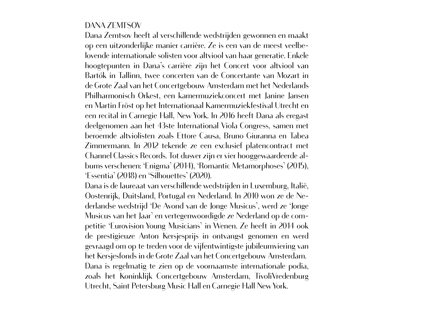#### DANA ZEMTSOV

Dana Zemtsov heeft al verschillende wedstrijden gewonnen en maakt op een uitzonderlijke manier carrière. Ze is een van de meest veelbelovende internationale solisten voor altviool van haar generatie. Enkele hoogtepunten in Dana's carrière zijn het Concert voor altviool van Bartók in Tallinn, twee concerten van de Concertante van Mozart in de Grote Zaal van het Concertgebouw Amsterdam met het Nederlands Philharmonisch Orkest, een kamermuziekconcert met Janine Jansen en Martin Fröst op het Internationaal Kamermuziekfestival Utrecht en een recital in Carnegie Hall, New York. In 2016 heeft Dana als eregast deelgenomen aan het 43ste International Viola Congress, samen met beroemde altviolisten zoals Ettore Causa, Bruno Giuranna en Tabea Zimmermann. In 2012 tekende ze een exclusief platencontract met Channel Classics Records. Tot dusver zijn er vier hooggewaardeerde albums verschenen: 'Enigma' (2014), 'Romantic Metamorphoses' (2015), 'Essentia' (2018) en 'Silhouettes' (2020).

Dana is de laureaat van verschillende wedstrijden in Luxemburg, Italië, Oostenrijk, Duitsland, Portugal en Nederland. In 2010 won ze de Nederlandse wedstrijd 'De Avond van de Jonge Musicus', werd ze 'Jonge Musicus van het Jaar' en vertegenwoordigde ze Nederland op de competitie 'Eurovision Young Musicians' in Wenen. Ze heeft in 2014 ook de prestigieuze Anton Kersjesprijs in ontvangst genomen en werd gevraagd om op te treden voor de vijfentwintigste jubileumviering van het Kersjesfonds in de Grote Zaal van het Concertgebouw Amsterdam. Dana is regelmatig te zien op de voornaamste internationale podia, zoals het Koninklijk Concertgebouw Amsterdam, TivoliVredenburg Utrecht, Saint Petersburg Music Hall en Carnegie Hall New York.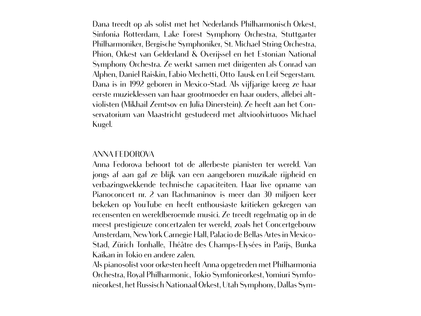Dana treedt op als solist met het Nederlands Philharmonisch Orkest, Sinfonia Rotterdam, Lake Forest Symphony Orchestra, Stuttgarter Philharmoniker, Bergische Symphoniker, St. Michael String Orchestra, Phion, Orkest van Gelderland & Overijssel en het Estonian National Symphony Orchestra. Ze werkt samen met dirigenten als Conrad van Alphen, Daniel Raiskin, Fabio Mechetti, Otto Tausk en Leif Segerstam. Dana is in 1992 geboren in Mexico-Stad. Als vijfjarige kreeg ze haar eerste muzieklessen van haar grootmoeder en haar ouders, allebei altviolisten (Mikhail Zemtsov en Julia Dinerstein). Ze heeft aan het Conservatorium van Maastricht gestudeerd met altvioolvirtuoos Michael Kugel.

#### ANNA FEDOROVA

Anna Fedorova behoort tot de allerbeste pianisten ter wereld. Van jongs af aan gaf ze blijk van een aangeboren muzikale rijpheid en verbazingwekkende technische capaciteiten. Haar live opname van Pianoconcert nr. 2 van Rachmaninov is meer dan 30 miljoen keer bekeken op YouTube en heeft enthousiaste kritieken gekregen van recensenten en wereldberoemde musici. Ze treedt regelmatig op in de meest prestigieuze concertzalen ter wereld, zoals het Concertgebouw Amsterdam, New York Carnegie Hall, Palacio de Bellas Artes in Mexico-Stad, Zürich Tonhalle, Théâtre des Champs-Elysées in Parijs, Bunka Kaikan in Tokio en andere zalen.

Als pianosolist voor orkesten heeft Anna opgetreden met Philharmonia Orchestra, Royal Philharmonic, Tokio Symfonieorkest, Yomiuri Symfonieorkest, het Russisch Nationaal Orkest, Utah Symphony, Dallas Sym-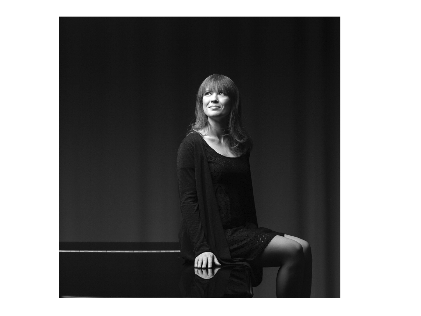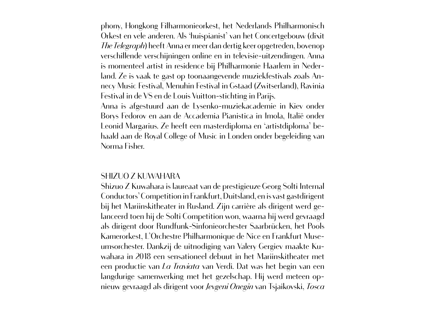phony, Hongkong Filharmonieorkest, het Nederlands Philharmonisch Orkest en vele anderen. Als 'huispianist' van het Concertgebouw (dixit *The Telegraph*) heeft Anna er meer dan dertig keer opgetreden, bovenop verschillende verschijningen online en in televisie-uitzendingen. Anna is momenteel artist in residence bij Philharmonie Haarlem in Nederland. Ze is vaak te gast op toonaangevende muziekfestivals zoals Annecy Music Festival, Menuhin Festival in Gstaad (Zwitserland), Ravinia Festival in de VS en de Louis Vuitton-stichting in Parijs.

Anna is afgestuurd aan de Lysenko-muziekacademie in Kiev onder Borys Fedorov en aan de Accademia Pianistica in Imola, Italië onder Leonid Margarius. Ze heeft een masterdiploma en 'artistdiploma' behaald aan de Royal College of Music in Londen onder begeleiding van Norma Fisher.

#### SHIZUO Z KUWAHARA

Shizuo Z Kuwahara is laureaat van de prestigieuze Georg Solti Internal Conductors' Competition in Frankfurt, Duitsland, en is vast gastdirigent bij het Mariinskitheater in Rusland. Zijn carrière als dirigent werd gelanceerd toen hij de Solti Competition won, waarna hij werd gevraagd als dirigent door Rundfunk-Sinfonieorchester Saarbrücken, het Pools Kamerorkest, L'Orchestre Philharmonique de Nice en Frankfurt Museumsorchester. Dankzij de uitnodiging van Valery Gergiev maakte Kuwahara in 2018 een sensationeel debuut in het Mariinskitheater met een productie van *La Traviata* van Verdi. Dat was het begin van een langdurige samenwerking met het gezelschap. Hij werd meteen opnieuw gevraagd als dirigent voor *Jevgeni Onegin* van Tsjaikovski, *Tosca*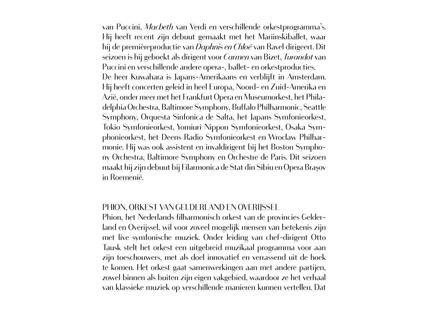van Puccini, *Macbeth* van Verdi en verschillende orkestprogramma's. Hij heeft recent zijn debuut gemaakt met het Mariinskiballet, waar hij de premièreproductie van *Daphnis en Chloë* van Ravel dirigeert. Dit seizoen is hij geboekt als dirigent voor *Carmen* van Bizet, *Turandot* van Puccini en verschillende andere opera-, ballet- en orkestproducties. De heer Kuwahara is Japans-Amerikaans en verblijft in Amsterdam. Hij heeft concerten geleid in heel Europa, Noord- en Zuid-Amerika en Azië, onder meer met het Frankfurt Opera en Museumorkest, het Philadelphia Orchestra, Baltimore Symphony, Buffalo Philharmonic, Seattle Symphony, Orquesta Sinfonica de Salta, het Japans Symfonieorkest, Tokio Symfonieorkest, Yomiuri Nippon Symfonieorkest, Osaka Symphonieorkest, het Deens Radio Symfonieorkest en Wrocław Philharmonie. Hij was ook assistent en invaldirigent bij het Boston Symphony Orchestra, Baltimore Symphony en Orchestre de Paris. Dit seizoen maakt hij zijn debuut bij Filarmonica de Stat din Sibiu en Opera Brașov in Roemenië.

#### PHION, ORKEST VAN GELDERLAND EN OVERIJSSEL

Phion, het Nederlands filharmonisch orkest van de provincies Gelderland en Overijssel, wil voor zoveel mogelijk mensen van betekenis zijn met live symfonische muziek. Onder leiding van chef-dirigent Otto Tausk stelt het orkest een uitgebreid muzikaal programma voor aan zijn toeschouwers, met als doel innovatief en verrassend uit de hoek te komen. Het orkest gaat samenwerkingen aan met andere partijen, zowel binnen als buiten zijn eigen vakgebied, waardoor ze het verhaal van klassieke muziek op verschillende manieren kunnen vertellen. Dat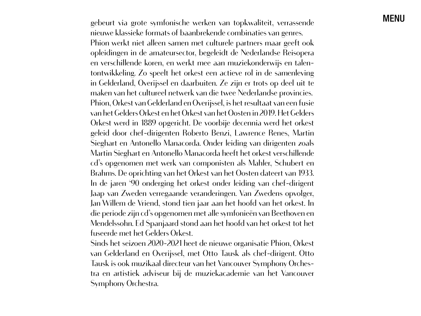gebeurt via grote symfonische werken van topkwaliteit, verrassende nieuwe klassieke formats of baanbrekende combinaties van genres. Phion werkt niet alleen samen met culturele partners maar geeft ook opleidingen in de amateursector, begeleidt de Nederlandse Reisopera en verschillende koren, en werkt mee aan muziekonderwijs en talentontwikkeling. Zo speelt het orkest een actieve rol in de samenleving in Gelderland, Overijssel en daarbuiten. Ze zijn er trots op deel uit te maken van het cultureel netwerk van die twee Nederlandse provincies. Phion, Orkest van Gelderland en Overijssel, is het resultaat van een fusie van het Gelders Orkest en het Orkest van het Oosten in 2019. Het Gelders Orkest werd in 1889 opgericht. De voorbije decennia werd het orkest geleid door chef-dirigenten Roberto Benzi, Lawrence Renes, Martin Sieghart en Antonello Manacorda. Onder leiding van dirigenten zoals Martin Sieghart en Antonello Manacorda heeft het orkest verschillende cd's opgenomen met werk van componisten als Mahler, Schubert en Brahms. De oprichting van het Orkest van het Oosten dateert van 1933. In de jaren '90 onderging het orkest onder leiding van chef-dirigent Jaap van Zweden verregaande veranderingen. Van Zwedens opvolger, Jan Willem de Vriend, stond tien jaar aan het hoofd van het orkest. In die periode zijn cd's opgenomen met alle symfonieën van Beethoven en Mendelssohn. Ed Spanjaard stond aan het hoofd van het orkest tot het

fuseerde met het Gelders Orkest.

Sinds het seizoen 2020-2021 heet de nieuwe organisatie Phion, Orkest van Gelderland en Overijssel, met Otto Tausk als chef-dirigent. Otto Tausk is ook muzikaal directeur van het Vancouver Symphony Orchestra en artistiek adviseur bij de muziekacademie van het Vancouver Symphony Orchestra.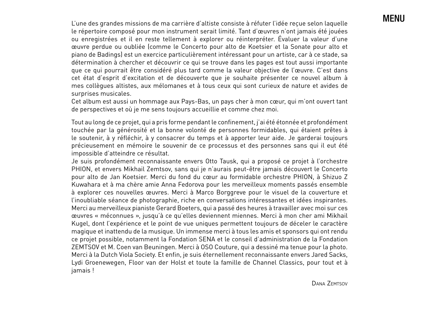<span id="page-28-0"></span>L'une des grandes missions de ma carrière d'altiste consiste à réfuter l'idée reçue selon laquelle le répertoire composé pour mon instrument serait limité. Tant d'œuvres n'ont jamais été jouées ou enregistrées et il en reste tellement à explorer ou réinterpréter. Évaluer la valeur d'une œuvre perdue ou oubliée (comme le Concerto pour alto de Koetsier et la Sonate pour alto et piano de Badings) est un exercice particulièrement intéressant pour un artiste, car à ce stade, sa détermination à chercher et découvrir ce qui se trouve dans les pages est tout aussi importante que ce qui pourrait être considéré plus tard comme la valeur objective de l'œuvre. C'est dans cet état d'esprit d'excitation et de découverte que je souhaite présenter ce nouvel album à mes collègues altistes, aux mélomanes et à tous ceux qui sont curieux de nature et avides de surprises musicales.

Cet album est aussi un hommage aux Pays-Bas, un pays cher à mon cœur, qui m'ont ouvert tant de perspectives et où je me sens toujours accueillie et comme chez moi.

Tout au long de ce projet, qui a pris forme pendant le confinement, j'ai été étonnée et profondément touchée par la générosité et la bonne volonté de personnes formidables, qui étaient prêtes à le soutenir, à y réfléchir, à y consacrer du temps et à apporter leur aide. Je garderai toujours précieusement en mémoire le souvenir de ce processus et des personnes sans qui il eut été impossible d'atteindre ce résultat.

Je suis profondément reconnaissante envers Otto Tausk, qui a proposé ce projet à l'orchestre PHION, et envers Mikhail Zemtsov, sans qui je n'aurais peut-être jamais découvert le Concerto pour alto de Jan Koetsier. Merci du fond du cœur au formidable orchestre PHION, à Shizuo Z Kuwahara et à ma chère amie Anna Fedorova pour les merveilleux moments passés ensemble à explorer ces nouvelles œuvres. Merci à Marco Borggreve pour le visuel de la couverture et l'inoubliable séance de photographie, riche en conversations intéressantes et idées inspirantes. Merci au merveilleux pianiste Gerard Boeters, qui a passé des heures à travailler avec moi sur ces œuvres « méconnues », jusqu'à ce qu'elles deviennent miennes. Merci à mon cher ami Mikhail Kugel, dont l'expérience et le point de vue uniques permettent toujours de déceler le caractère magique et inattendu de la musique. Un immense merci à tous les amis et sponsors qui ont rendu ce projet possible, notamment la Fondation SENA et le conseil d'administration de la Fondation ZEMTSOV et M. Coen van Beuningen. Merci à OSO Couture, qui a dessiné ma tenue pour la photo. Merci à la Dutch Viola Society. Et enfin, je suis éternellement reconnaissante envers Jared Sacks, Lydi Groenewegen, Floor van der Holst et toute la famille de Channel Classics, pour tout et à jamais !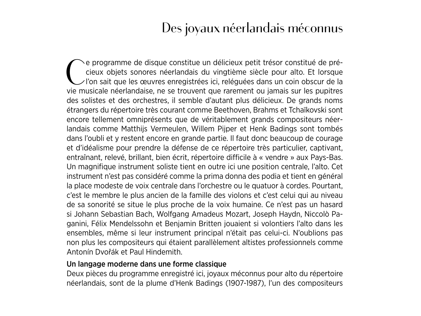## Des joyaux néerlandais méconnus

Ce programme de disque constitue un délicieux petit trésor constitué de pré-<br>Cieux objets sonores néerlandais du vingtième siècle pour alto. Et lorsque<br>l'on sait que les œuvres enregistrées ici, reléguées dans un coin obsc cieux objets sonores néerlandais du vingtième siècle pour alto. Et lorsque l'on sait que les œuvres enregistrées ici, reléguées dans un coin obscur de la vie musicale néerlandaise, ne se trouvent que rarement ou jamais sur les pupitres des solistes et des orchestres, il semble d'autant plus délicieux. De grands noms étrangers du répertoire très courant comme Beethoven, Brahms et Tchaïkovski sont encore tellement omniprésents que de véritablement grands compositeurs néerlandais comme Matthijs Vermeulen, Willem Pijper et Henk Badings sont tombés dans l'oubli et y restent encore en grande partie. Il faut donc beaucoup de courage et d'idéalisme pour prendre la défense de ce répertoire très particulier, captivant, entraînant, relevé, brillant, bien écrit, répertoire difficile à « vendre » aux Pays-Bas. Un magnifique instrument soliste tient en outre ici une position centrale, l'alto. Cet instrument n'est pas considéré comme la prima donna des podia et tient en général la place modeste de voix centrale dans l'orchestre ou le quatuor à cordes. Pourtant, c'est le membre le plus ancien de la famille des violons et c'est celui qui au niveau de sa sonorité se situe le plus proche de la voix humaine. Ce n'est pas un hasard si Johann Sebastian Bach, Wolfgang Amadeus Mozart, Joseph Haydn, Niccolò Paganini, Félix Mendelssohn et Benjamin Britten jouaient si volontiers l'alto dans les ensembles, même si leur instrument principal n'était pas celui-ci. N'oublions pas non plus les compositeurs qui étaient parallèlement altistes professionnels comme Antonín Dvořák et Paul Hindemith.

#### Un langage moderne dans une forme classique

Deux pièces du programme enregistré ici, joyaux méconnus pour alto du répertoire néerlandais, sont de la plume d'Henk Badings (1907-1987), l'un des compositeurs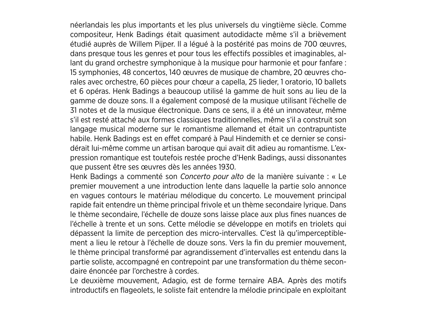néerlandais les plus importants et les plus universels du vingtième siècle. Comme compositeur, Henk Badings était quasiment autodidacte même s'il a brièvement étudié auprès de Willem Pijper. Il a légué à la postérité pas moins de 700 œuvres, dans presque tous les genres et pour tous les effectifs possibles et imaginables, allant du grand orchestre symphonique à la musique pour harmonie et pour fanfare : 15 symphonies, 48 concertos, 140 œuvres de musique de chambre, 20 œuvres chorales avec orchestre, 60 pièces pour chœur a capella, 25 lieder, 1 oratorio, 10 ballets et 6 opéras. Henk Badings a beaucoup utilisé la gamme de huit sons au lieu de la gamme de douze sons. Il a également composé de la musique utilisant l'échelle de 31 notes et de la musique électronique. Dans ce sens, il a été un innovateur, même s'il est resté attaché aux formes classiques traditionnelles, même s'il a construit son langage musical moderne sur le romantisme allemand et était un contrapuntiste habile. Henk Badings est en effet comparé à Paul Hindemith et ce dernier se considérait lui-même comme un artisan baroque qui avait dit adieu au romantisme. L'expression romantique est toutefois restée proche d'Henk Badings, aussi dissonantes que pussent être ses œuvres dès les années 1930.

Henk Badings a commenté son *Concerto pour alto* de la manière suivante : « Le premier mouvement a une introduction lente dans laquelle la partie solo annonce en vagues contours le matériau mélodique du concerto. Le mouvement principal rapide fait entendre un thème principal frivole et un thème secondaire lyrique. Dans le thème secondaire, l'échelle de douze sons laisse place aux plus fines nuances de l'échelle à trente et un sons. Cette mélodie se développe en motifs en triolets qui dépassent la limite de perception des micro-intervalles. C'est là qu'imperceptiblement a lieu le retour à l'échelle de douze sons. Vers la fin du premier mouvement, le thème principal transformé par agrandissement d'intervalles est entendu dans la partie soliste, accompagné en contrepoint par une transformation du thème secondaire énoncée par l'orchestre à cordes.

Le deuxième mouvement, Adagio, est de forme ternaire ABA. Après des motifs introductifs en flageolets, le soliste fait entendre la mélodie principale en exploitant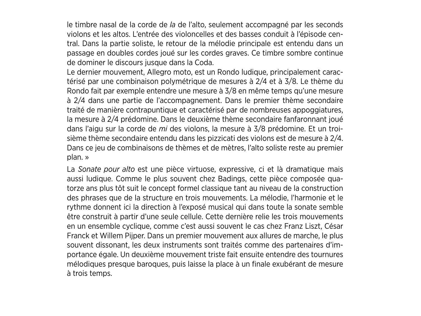le timbre nasal de la corde de *la* de l'alto, seulement accompagné par les seconds violons et les altos. L'entrée des violoncelles et des basses conduit à l'épisode central. Dans la partie soliste, le retour de la mélodie principale est entendu dans un passage en doubles cordes joué sur les cordes graves. Ce timbre sombre continue de dominer le discours jusque dans la Coda.

Le dernier mouvement, Allegro moto, est un Rondo ludique, principalement caractérisé par une combinaison polymétrique de mesures à 2/4 et à 3/8. Le thème du Rondo fait par exemple entendre une mesure à 3/8 en même temps qu'une mesure à 2/4 dans une partie de l'accompagnement. Dans le premier thème secondaire traité de manière contrapuntique et caractérisé par de nombreuses appoggiatures, la mesure à 2/4 prédomine. Dans le deuxième thème secondaire fanfaronnant joué dans l'aigu sur la corde de *mi* des violons, la mesure à 3/8 prédomine. Et un troisième thème secondaire entendu dans les pizzicati des violons est de mesure à 2/4. Dans ce jeu de combinaisons de thèmes et de mètres, l'alto soliste reste au premier plan. »

La *Sonate pour alto* est une pièce virtuose, expressive, ci et là dramatique mais aussi ludique. Comme le plus souvent chez Badings, cette pièce composée quatorze ans plus tôt suit le concept formel classique tant au niveau de la construction des phrases que de la structure en trois mouvements. La mélodie, l'harmonie et le rythme donnent ici la direction à l'exposé musical qui dans toute la sonate semble être construit à partir d'une seule cellule. Cette dernière relie les trois mouvements en un ensemble cyclique, comme c'est aussi souvent le cas chez Franz Liszt, César Franck et Willem Pijper. Dans un premier mouvement aux allures de marche, le plus souvent dissonant, les deux instruments sont traités comme des partenaires d'importance égale. Un deuxième mouvement triste fait ensuite entendre des tournures mélodiques presque baroques, puis laisse la place à un finale exubérant de mesure à trois temps.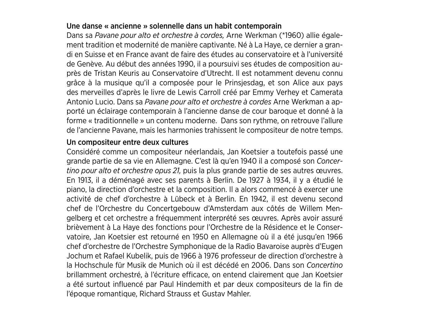#### Une danse « ancienne » solennelle dans un habit contemporain

Dans sa *Pavane pour alto et orchestre à cordes,* Arne Werkman (\*1960) allie également tradition et modernité de manière captivante. Né à La Haye, ce dernier a grandi en Suisse et en France avant de faire des études au conservatoire et à l'université de Genève. Au début des années 1990, il a poursuivi ses études de composition auprès de Tristan Keuris au Conservatoire d'Utrecht. Il est notamment devenu connu grâce à la musique qu'il a composée pour le Prinsjesdag, et son Alice aux pays des merveilles d'après le livre de Lewis Carroll créé par Emmy Verhey et Camerata Antonio Lucio. Dans sa *Pavane pour alto et orchestre à cordes* Arne Werkman a apporté un éclairage contemporain à l'ancienne danse de cour baroque et donné à la forme « traditionnelle » un contenu moderne. Dans son rythme, on retrouve l'allure de l'ancienne Pavane, mais les harmonies trahissent le compositeur de notre temps.

#### Un compositeur entre deux cultures

Considéré comme un compositeur néerlandais, Jan Koetsier a toutefois passé une grande partie de sa vie en Allemagne. C'est là qu'en 1940 il a composé son *Concertino pour alto et orchestre opus 21,* puis la plus grande partie de ses autres œuvres. En 1913, il a déménagé avec ses parents à Berlin. De 1927 à 1934, il y a étudié le piano, la direction d'orchestre et la composition. Il a alors commencé à exercer une activité de chef d'orchestre à Lübeck et à Berlin. En 1942, il est devenu second chef de l'Orchestre du Concertgebouw d'Amsterdam aux côtés de Willem Mengelberg et cet orchestre a fréquemment interprété ses œuvres. Après avoir assuré brièvement à La Haye des fonctions pour l'Orchestre de la Résidence et le Conservatoire, Jan Koetsier est retourné en 1950 en Allemagne où il a été jusqu'en 1966 chef d'orchestre de l'Orchestre Symphonique de la Radio Bavaroise auprès d'Eugen Jochum et Rafael Kubelik, puis de 1966 à 1976 professeur de direction d'orchestre à la Hochschule für Musik de Munich où il est décédé en 2006. Dans son *Concertino* brillamment orchestré, à l'écriture efficace, on entend clairement que Jan Koetsier a été surtout influencé par Paul Hindemith et par deux compositeurs de la fin de l'époque romantique, Richard Strauss et Gustav Mahler.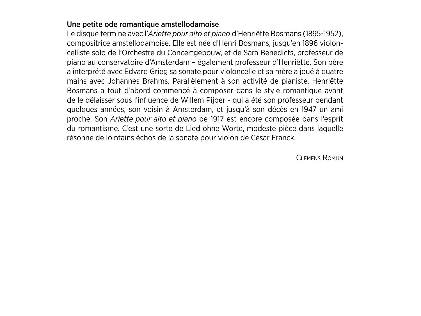#### Une petite ode romantique amstellodamoise

Le disque termine avec l'*Ariette pour alto et piano* d'Henriëtte Bosmans (1895-1952), compositrice amstellodamoise. Elle est née d'Henri Bosmans, jusqu'en 1896 violoncelliste solo de l'Orchestre du Concertgebouw, et de Sara Benedicts, professeur de piano au conservatoire d'Amsterdam – également professeur d'Henriëtte. Son père a interprété avec Edvard Grieg sa sonate pour violoncelle et sa mère a joué à quatre mains avec Johannes Brahms. Parallèlement à son activité de pianiste, Henriëtte Bosmans a tout d'abord commencé à composer dans le style romantique avant de le délaisser sous l'influence de Willem Pijper - qui a été son professeur pendant quelques années, son voisin à Amsterdam, et jusqu'à son décès en 1947 un ami proche. Son *Ariette pour alto et piano* de 1917 est encore composée dans l'esprit du romantisme. C'est une sorte de Lied ohne Worte, modeste pièce dans laquelle résonne de lointains échos de la sonate pour violon de César Franck.

CLEMENS ROMIJN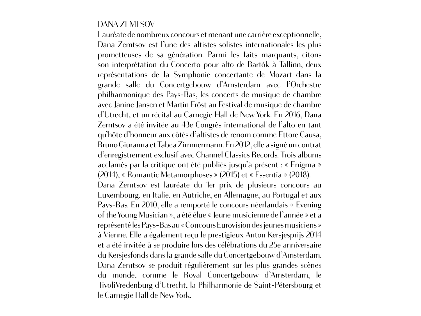#### DANA ZEMTSOV

Lauréate de nombreux concours et menant une carrière exceptionnelle, Dana Zemtsov est l'une des altistes solistes internationales les plus prometteuses de sa génération. Parmi les faits marquants, citons son interprétation du Concerto pour alto de Bartók à Tallinn, deux représentations de la Symphonie concertante de Mozart dans la grande salle du Concertgebouw d'Amsterdam avec l'Orchestre philharmonique des Pays-Bas, les concerts de musique de chambre avec Janine Jansen et Martin Fröst au Festival de musique de chambre d'Utrecht, et un récital au Carnegie Hall de New York. En 2016, Dana Zemtsov a été invitée au 43e Congrès international de l'alto en tant qu'hôte d'honneur aux côtés d'altistes de renom comme Ettore Causa, Bruno Giuranna et Tabea Zimmermann. En 2012, elle a signé un contrat d'enregistrement exclusif avec Channel Classics Records. Trois albums acclamés par la critique ont été publiés jusqu'à présent : « Enigma » (2014), « Romantic Metamorphoses » (2015) et « Essentia » (2018). Dana Zemtsov est lauréate du 1er prix de plusieurs concours au Luxembourg, en Italie, en Autriche, en Allemagne, au Portugal et aux Pays-Bas. En 2010, elle a remporté le concours néerlandais « Evening of the Young Musician », a été élue « Jeune musicienne de l'année » et a représenté les Pays-Bas au « Concours Eurovision des jeunes musiciens » à Vienne. Elle a également reçu le prestigieux Anton Kersjesprijs 2014 et a été invitée à se produire lors des célébrations du 25e anniversaire du Kersjesfonds dans la grande salle du Concertgebouw d'Amsterdam. Dana Zemtsov se produit régulièrement sur les plus grandes scènes du monde, comme le Royal Concertgebouw d'Amsterdam, le TivoliVredenburg d'Utrecht, la Philharmonie de Saint-Pétersbourg et le Carnegie Hall de New York.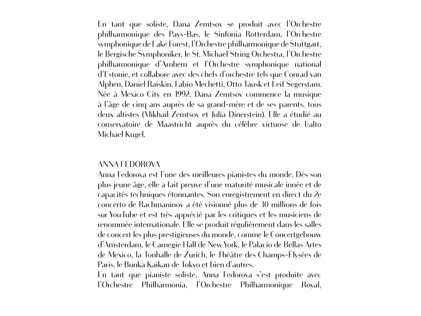En tant que soliste, Dana Zemtsov se produit avec l'Orchestre philharmonique des Pays-Bas, le Sinfonia Rotterdam, l'Orchestre symphonique de Lake Forest, l'Orchestre philharmonique de Stuttgart, le Bergische Symphoniker, le St. Michael String Orchestra, l'Orchestre philharmonique d'Arnhem et l'Orchestre symphonique national d'Estonie, et collabore avec des chefs d'orchestre tels que Conrad van Alphen, Daniel Raiskin, Fabio Mechetti, Otto Tausk et Leif Segerstam. Née à Mexico City en 1992, Dana Zemtsov commence la musique à l'âge de cinq ans auprès de sa grand-mère et de ses parents, tous deux altistes (Mikhail Zemtsov et Julia Dinerstein). Elle a étudié au conservatoire de Maastricht auprès du célèbre virtuose de l›alto Michael Kugel.

#### ANNA FEDOROVA

Anna Fedorova est l'une des meilleures pianistes du monde. Dès son plus jeune âge, elle a fait preuve d'une maturité musicale innée et de capacités techniques étonnantes. Son enregistrement en direct du 2e concerto de Rachmaninov a été visionné plus de 30 millions de fois sur YouTube et est très apprécié par les critiques et les musiciens de renommée internationale. Elle se produit régulièrement dans les salles de concert les plus prestigieuses du monde, comme le Concertgebouw d'Amsterdam, le Carnegie Hall de New York, le Palacio de Bellas Artes de Mexico, la Tonhalle de Zurich, le Théâtre des Champs-Élysées de Paris, le Bunka Kaikan de Tokyo et bien d'autres.

En tant que pianiste soliste, Anna Fedorova s'est produite avec l'Orchestre Philharmonia, l'Orchestre Philharmonique Royal,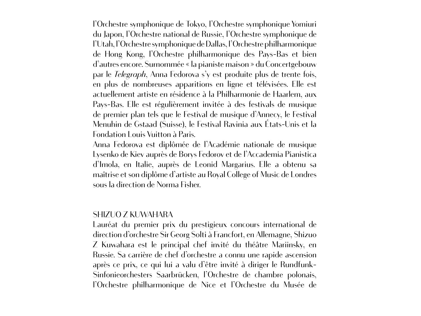l'Orchestre symphonique de Tokyo, l'Orchestre symphonique Yomiuri du Japon, l'Orchestre national de Russie, l'Orchestre symphonique de l'Utah, l'Orchestre symphonique de Dallas, l'Orchestre philharmonique de Hong Kong, l'Orchestre philharmonique des Pays-Bas et bien d'autres encore. Surnommée « la pianiste maison » du Concertgebouw par le *Telegraph*, Anna Fedorova s'y est produite plus de trente fois, en plus de nombreuses apparitions en ligne et télévisées. Elle est actuellement artiste en résidence à la Philharmonie de Haarlem, aux Pays-Bas. Elle est régulièrement invitée à des festivals de musique de premier plan tels que le Festival de musique d'Annecy, le Festival Menuhin de Gstaad (Suisse), le Festival Ravinia aux États-Unis et la Fondation Louis Vuitton à Paris.

Anna Fedorova est diplômée de l'Académie nationale de musique Lysenko de Kiev auprès de Borys Fedorov et de l'Accademia Pianistica d'Imola, en Italie, auprès de Leonid Margarius. Elle a obtenu sa maîtrise et son diplôme d'artiste au Royal College of Music de Londres sous la direction de Norma Fisher.

#### SHIZUO Z KUWAHARA

Lauréat du premier prix du prestigieux concours international de direction d'orchestre Sir Georg Solti à Francfort, en Allemagne, Shizuo Z Kuwahara est le principal chef invité du théâtre Mariinsky, en Russie. Sa carrière de chef d'orchestre a connu une rapide ascension après ce prix, ce qui lui a valu d'être invité à diriger le Rundfunk-Sinfonieorchesters Saarbrücken, l'Orchestre de chambre polonais, l'Orchestre philharmonique de Nice et l'Orchestre du Musée de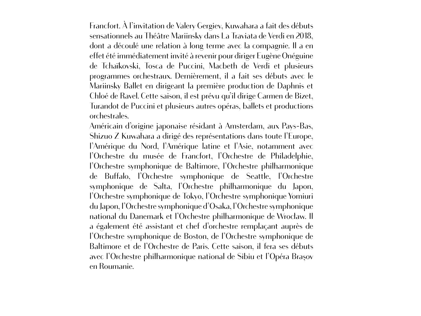Francfort. À l'invitation de Valery Gergiev, Kuwahara a fait des débuts sensationnels au Théâtre Mariinsky dans La Traviata de Verdi en 2018, dont a découlé une relation à long terme avec la compagnie. Il a en effet été immédiatement invité à revenir pour diriger Eugène Onéguine de Tchaïkovski, Tosca de Puccini, Macbeth de Verdi et plusieurs programmes orchestraux. Dernièrement, il a fait ses débuts avec le Mariinsky Ballet en dirigeant la première production de Daphnis et Chloé de Ravel. Cette saison, il est prévu qu'il dirige Carmen de Bizet, Turandot de Puccini et plusieurs autres opéras, ballets et productions orchestrales.

Américain d'origine japonaise résidant à Amsterdam, aux Pays-Bas, Shizuo Z Kuwahara a dirigé des représentations dans toute l'Europe, l'Amérique du Nord, l'Amérique latine et l'Asie, notamment avec l'Orchestre du musée de Francfort, l'Orchestre de Philadelphie, l'Orchestre symphonique de Baltimore, l'Orchestre philharmonique de Buffalo, l'Orchestre symphonique de Seattle, l'Orchestre symphonique de Salta, l'Orchestre philharmonique du Japon, l'Orchestre symphonique de Tokyo, l'Orchestre symphonique Yomiuri du Japon, l'Orchestre symphonique d'Osaka, l'Orchestre symphonique national du Danemark et l'Orchestre philharmonique de Wrocław. Il a également été assistant et chef d'orchestre remplaçant auprès de l'Orchestre symphonique de Boston, de l'Orchestre symphonique de Baltimore et de l'Orchestre de Paris. Cette saison, il fera ses débuts avec l'Orchestre philharmonique national de Sibiu et l'Opéra Brașov en Roumanie.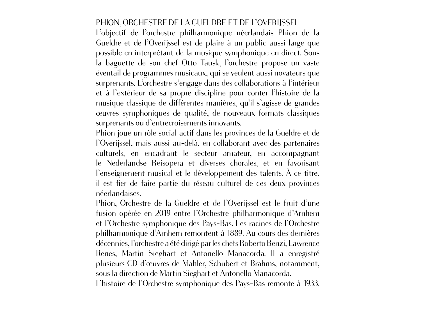### PHION, ORCHESTRE DE LA GUELDRE ET DE L'OVERIJSSEL

L'objectif de l'orchestre philharmonique néerlandais Phion de la Gueldre et de l'Overijssel est de plaire à un public aussi large que possible en interprétant de la musique symphonique en direct. Sous la baguette de son chef Otto Tausk, l'orchestre propose un vaste éventail de programmes musicaux, qui se veulent aussi novateurs que surprenants. L'orchestre s'engage dans des collaborations à l'intérieur et à l'extérieur de sa propre discipline pour conter l'histoire de la musique classique de différentes manières, qu'il s'agisse de grandes œuvres symphoniques de qualité, de nouveaux formats classiques surprenants ou d'entrecroisements innovants.

Phion joue un rôle social actif dans les provinces de la Gueldre et de l'Overijssel, mais aussi au-delà, en collaborant avec des partenaires culturels, en encadrant le secteur amateur, en accompagnant le Nederlandse Reisopera et diverses chorales, et en favorisant l'enseignement musical et le développement des talents. À ce titre, il est fier de faire partie du réseau culturel de ces deux provinces néerlandaises.

Phion, Orchestre de la Gueldre et de l'Overijssel est le fruit d'une fusion opérée en 2019 entre l'Orchestre philharmonique d'Arnhem et l'Orchestre symphonique des Pays-Bas. Les racines de l'Orchestre philharmonique d'Arnhem remontent à 1889. Au cours des dernières décennies, l'orchestre a été dirigé par les chefs Roberto Benzi, Lawrence Renes, Martin Sieghart et Antonello Manacorda. Il a enregistré plusieurs CD d'œuvres de Mahler, Schubert et Brahms, notamment, sous la direction de Martin Sieghart et Antonello Manacorda.

L'histoire de l'Orchestre symphonique des Pays-Bas remonte à 1933.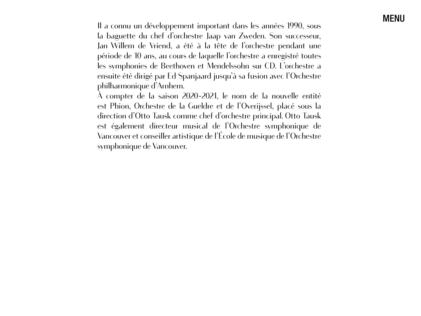Il a connu un développement important dans les années 1990, sous la baguette du chef d'orchestre Jaap van Zweden. Son successeur, Jan Willem de Vriend, a été à la tête de l'orchestre pendant une période de 10 ans, au cours de laquelle l'orchestre a enregistré toutes les symphonies de Beethoven et Mendelssohn sur CD. L'orchestre a ensuite été dirigé par Ed Spanjaard jusqu'à sa fusion avec l'Orchestre philharmonique d'Arnhem.

À compter de la saison 2020-2021, le nom de la nouvelle entité est Phion, Orchestre de la Gueldre et de l'Overijssel, placé sous la direction d'Otto Tausk comme chef d'orchestre principal. Otto Tausk est également directeur musical de l'Orchestre symphonique de Vancouver et conseiller artistique de l'École de musique de l'Orchestre symphonique de Vancouver.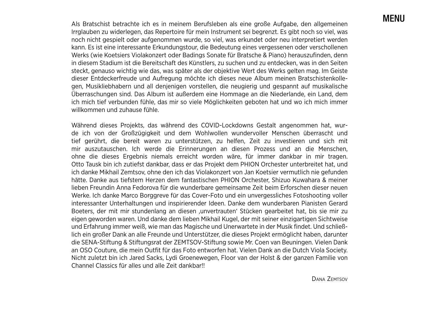<span id="page-40-0"></span>Als Bratschist betrachte ich es in meinem Berufsleben als eine große Aufgabe, den allgemeinen Irrglauben zu widerlegen, das Repertoire für mein Instrument sei begrenzt. Es gibt noch so viel, was noch nicht gespielt oder aufgenommen wurde, so viel, was erkundet oder neu interpretiert werden kann. Es ist eine interessante Erkundungstour, die Bedeutung eines vergessenen oder verschollenen Werks (wie Koetsiers Violakonzert oder Badings Sonate für Bratsche & Piano) herauszufinden, denn in diesem Stadium ist die Bereitschaft des Künstlers, zu suchen und zu entdecken, was in den Seiten steckt, genauso wichtig wie das, was später als der objektive Wert des Werks gelten mag. Im Geiste dieser Entdeckerfreude und Aufregung möchte ich dieses neue Album meinen Bratschistenkollegen, Musikliebhabern und all denjenigen vorstellen, die neugierig und gespannt auf musikalische Überraschungen sind. Das Album ist außerdem eine Hommage an die Niederlande, ein Land, dem ich mich tief verbunden fühle, das mir so viele Möglichkeiten geboten hat und wo ich mich immer willkommen und zuhause fühle.

Während dieses Projekts, das während des COVID-Lockdowns Gestalt angenommen hat, wurde ich von der Großzügigkeit und dem Wohlwollen wundervoller Menschen überrascht und tief gerührt, die bereit waren zu unterstützen, zu helfen, Zeit zu investieren und sich mit mir auszutauschen. Ich werde die Erinnerungen an diesen Prozess und an die Menschen, ohne die dieses Ergebnis niemals erreicht worden wäre, für immer dankbar in mir tragen. Otto Tausk bin ich zutiefst dankbar, dass er das Projekt dem PHION Orchester unterbreitet hat, und ich danke Mikhail Zemtsov, ohne den ich das Violakonzert von Jan Koetsier vermutlich nie gefunden hätte. Danke aus tiefstem Herzen dem fantastischen PHION Orchester, Shizuo Kuwahara & meiner lieben Freundin Anna Fedorova für die wunderbare gemeinsame Zeit beim Erforschen dieser neuen Werke. Ich danke Marco Borggreve für das Cover-Foto und ein unvergessliches Fotoshooting voller interessanter Unterhaltungen und inspirierender Ideen. Danke dem wunderbaren Pianisten Gerard Boeters, der mit mir stundenlang an diesen , unvertrauten' Stücken gearbeitet hat, bis sie mir zu eigen geworden waren. Und danke dem lieben Mikhail Kugel, der mit seiner einzigartigen Sichtweise und Erfahrung immer weiß, wie man das Magische und Unerwartete in der Musik findet. Und schließlich ein großer Dank an alle Freunde und Unterstützer, die dieses Projekt ermöglicht haben, darunter die SENA-Stiftung & Stiftungsrat der ZEMTSOV-Stiftung sowie Mr. Coen van Beuningen. Vielen Dank an OSO Couture, die mein Outfit für das Foto entworfen hat. Vielen Dank an die Dutch Viola Society. Nicht zuletzt bin ich Jared Sacks, Lydi Groenewegen, Floor van der Holst & der ganzen Familie von Channel Classics für alles und alle Zeit dankbar!!

DANA ZEMTSOV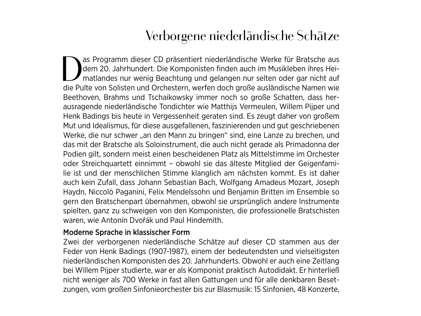## Verborgene niederländische Schätze

as Programm dieser CD präsentiert niederländische Werke für Bratsche aus dem 20. Jahrhundert. Die Komponisten finden auch im Musikleben ihres Heimatlandes nur wenig Beachtung und gelangen nur selten oder gar nicht auf die dem 20. Jahrhundert. Die Komponisten finden auch im Musikleben ihres Heimatlandes nur wenig Beachtung und gelangen nur selten oder gar nicht auf die Pulte von Solisten und Orchestern, werfen doch große ausländische Namen wie Beethoven, Brahms und Tschaikowsky immer noch so große Schatten, dass herausragende niederländische Tondichter wie Matthijs Vermeulen, Willem Pijper und Henk Badings bis heute in Vergessenheit geraten sind. Es zeugt daher von großem Mut und Idealismus, für diese ausgefallenen, faszinierenden und gut geschriebenen Werke, die nur schwer "an den Mann zu bringen" sind, eine Lanze zu brechen, und das mit der Bratsche als Soloinstrument, die auch nicht gerade als Primadonna der Podien gilt, sondern meist einen bescheidenen Platz als Mittelstimme im Orchester oder Streichquartett einnimmt – obwohl sie das älteste Mitglied der Geigenfamilie ist und der menschlichen Stimme klanglich am nächsten kommt. Es ist daher auch kein Zufall, dass Johann Sebastian Bach, Wolfgang Amadeus Mozart, Joseph Haydn, Niccolò Paganini, Felix Mendelssohn und Benjamin Britten im Ensemble so gern den Bratschenpart übernahmen, obwohl sie ursprünglich andere Instrumente spielten, ganz zu schweigen von den Komponisten, die professionelle Bratschisten waren, wie Antonín Dvořák und Paul Hindemith.

#### Moderne Sprache in klassischer Form

Zwei der verborgenen niederländische Schätze auf dieser CD stammen aus der Feder von Henk Badings (1907-1987), einem der bedeutendsten und vielseitigsten niederländischen Komponisten des 20. Jahrhunderts. Obwohl er auch eine Zeitlang bei Willem Pijper studierte, war er als Komponist praktisch Autodidakt. Er hinterließ nicht weniger als 700 Werke in fast allen Gattungen und für alle denkbaren Besetzungen, vom großen Sinfonieorchester bis zur Blasmusik: 15 Sinfonien, 48 Konzerte,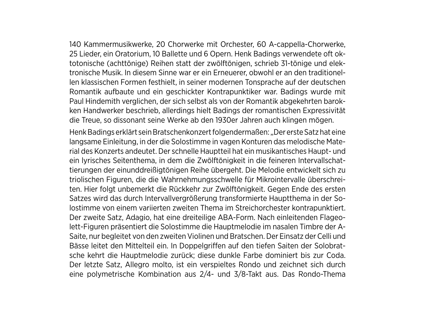140 Kammermusikwerke, 20 Chorwerke mit Orchester, 60 A-cappella-Chorwerke, 25 Lieder, ein Oratorium, 10 Ballette und 6 Opern. Henk Badings verwendete oft oktotonische (achttönige) Reihen statt der zwölftönigen, schrieb 31-tönige und elektronische Musik. In diesem Sinne war er ein Erneuerer, obwohl er an den traditionellen klassischen Formen festhielt, in seiner modernen Tonsprache auf der deutschen Romantik aufbaute und ein geschickter Kontrapunktiker war. Badings wurde mit Paul Hindemith verglichen, der sich selbst als von der Romantik abgekehrten barokken Handwerker beschrieb, allerdings hielt Badings der romantischen Expressivität die Treue, so dissonant seine Werke ab den 1930er Jahren auch klingen mögen.

Henk Badings erklärt sein Bratschenkonzert folgendermaßen: "Der erste Satz hat eine langsame Einleitung, in der die Solostimme in vagen Konturen das melodische Material des Konzerts andeutet. Der schnelle Hauptteil hat ein musikantisches Haupt- und ein lyrisches Seitenthema, in dem die Zwölftönigkeit in die feineren Intervallschattierungen der einunddreißigtönigen Reihe übergeht. Die Melodie entwickelt sich zu triolischen Figuren, die die Wahrnehmungsschwelle für Mikrointervalle überschreiten. Hier folgt unbemerkt die Rückkehr zur Zwölftönigkeit. Gegen Ende des ersten Satzes wird das durch Intervallvergrößerung transformierte Hauptthema in der Solostimme von einem variierten zweiten Thema im Streichorchester kontrapunktiert. Der zweite Satz, Adagio, hat eine dreiteilige ABA-Form. Nach einleitenden Flageolett-Figuren präsentiert die Solostimme die Hauptmelodie im nasalen Timbre der A-Saite, nur begleitet von den zweiten Violinen und Bratschen. Der Einsatz der Celli und Bässe leitet den Mittelteil ein. In Doppelgriffen auf den tiefen Saiten der Solobratsche kehrt die Hauptmelodie zurück; diese dunkle Farbe dominiert bis zur Coda. Der letzte Satz, Allegro molto, ist ein verspieltes Rondo und zeichnet sich durch eine polymetrische Kombination aus 2/4- und 3/8-Takt aus. Das Rondo-Thema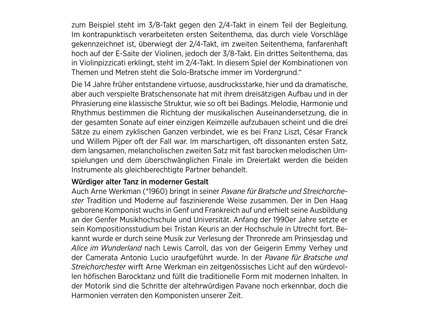zum Beispiel steht im 3/8-Takt gegen den 2/4-Takt in einem Teil der Begleitung. Im kontrapunktisch verarbeiteten ersten Seitenthema, das durch viele Vorschläge gekennzeichnet ist, überwiegt der 2/4-Takt, im zweiten Seitenthema, fanfarenhaft hoch auf der E-Saite der Violinen, jedoch der 3/8-Takt. Ein drittes Seitenthema, das in Violinpizzicati erklingt, steht im 2/4-Takt. In diesem Spiel der Kombinationen von Themen und Metren steht die Solo-Bratsche immer im Vordergrund."

Die 14 Jahre früher entstandene virtuose, ausdrucksstarke, hier und da dramatische, aber auch verspielte Bratschensonate hat mit ihrem dreisätzigen Aufbau und in der Phrasierung eine klassische Struktur, wie so oft bei Badings. Melodie, Harmonie und Rhythmus bestimmen die Richtung der musikalischen Auseinandersetzung, die in der gesamten Sonate auf einer einzigen Keimzelle aufzubauen scheint und die drei Sätze zu einem zyklischen Ganzen verbindet, wie es bei Franz Liszt, César Franck und Willem Pijper oft der Fall war. Im marschartigen, oft dissonanten ersten Satz, dem langsamen, melancholischen zweiten Satz mit fast barocken melodischen Umspielungen und dem überschwänglichen Finale im Dreiertakt werden die beiden Instrumente als gleichberechtigte Partner behandelt.

#### Würdiger alter Tanz in moderner Gestalt

Auch Arne Werkman (\*1960) bringt in seiner *Pavane für Bratsche und Streichorchester* Tradition und Moderne auf faszinierende Weise zusammen. Der in Den Haag geborene Komponist wuchs in Genf und Frankreich auf und erhielt seine Ausbildung an der Genfer Musikhochschule und Universität. Anfang der 1990er Jahre setzte er sein Kompositionsstudium bei Tristan Keuris an der Hochschule in Utrecht fort. Bekannt wurde er durch seine Musik zur Verlesung der Thronrede am Prinsjesdag und *Alice im Wunderland* nach Lewis Carroll, das von der Geigerin Emmy Verhey und der Camerata Antonio Lucio uraufgeführt wurde. In der *Pavane für Bratsche und Streichorchester* wirft Arne Werkman ein zeitgenössisches Licht auf den würdevollen höfischen Barocktanz und füllt die traditionelle Form mit modernen Inhalten. In der Motorik sind die Schritte der altehrwürdigen Pavane noch erkennbar, doch die Harmonien verraten den Komponisten unserer Zeit.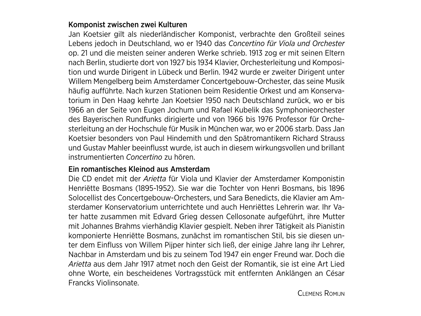#### Komponist zwischen zwei Kulturen

Jan Koetsier gilt als niederländischer Komponist, verbrachte den Großteil seines Lebens jedoch in Deutschland, wo er 1940 das *Concertino für Viola und Orchester* op. 21 und die meisten seiner anderen Werke schrieb. 1913 zog er mit seinen Eltern nach Berlin, studierte dort von 1927 bis 1934 Klavier, Orchesterleitung und Komposition und wurde Dirigent in Lübeck und Berlin. 1942 wurde er zweiter Dirigent unter Willem Mengelberg beim Amsterdamer Concertgebouw-Orchester, das seine Musik häufig aufführte. Nach kurzen Stationen beim Residentie Orkest und am Konservatorium in Den Haag kehrte Jan Koetsier 1950 nach Deutschland zurück, wo er bis 1966 an der Seite von Eugen Jochum und Rafael Kubelik das Symphonieorchester des Bayerischen Rundfunks dirigierte und von 1966 bis 1976 Professor für Orchesterleitung an der Hochschule für Musik in München war, wo er 2006 starb. Dass Jan Koetsier besonders von Paul Hindemith und den Spätromantikern Richard Strauss und Gustav Mahler beeinflusst wurde, ist auch in diesem wirkungsvollen und brillant instrumentierten *Concertino* zu hören.

#### Ein romantisches Kleinod aus Amsterdam

Die CD endet mit der *Arietta* für Viola und Klavier der Amsterdamer Komponistin Henriëtte Bosmans (1895-1952). Sie war die Tochter von Henri Bosmans, bis 1896 Solocellist des Concertgebouw-Orchesters, und Sara Benedicts, die Klavier am Amsterdamer Konservatorium unterrichtete und auch Henriëttes Lehrerin war. Ihr Vater hatte zusammen mit Edvard Grieg dessen Cellosonate aufgeführt, ihre Mutter mit Johannes Brahms vierhändig Klavier gespielt. Neben ihrer Tätigkeit als Pianistin komponierte Henriëtte Bosmans, zunächst im romantischen Stil, bis sie diesen unter dem Einfluss von Willem Pijper hinter sich ließ, der einige Jahre lang ihr Lehrer, Nachbar in Amsterdam und bis zu seinem Tod 1947 ein enger Freund war. Doch die *Arietta* aus dem Jahr 1917 atmet noch den Geist der Romantik, sie ist eine Art Lied ohne Worte, ein bescheidenes Vortragsstück mit entfernten Anklängen an César Francks Violinsonate.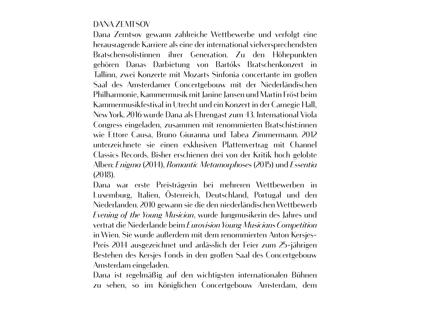#### DANA ZEMTSOV

Dana Zemtsov gewann zahlreiche Wettbewerbe und verfolgt eine herausragende Karriere als eine der international vielversprechendsten Bratschensolistinnen ihrer Generation. Zu den Höhepunkten gehören Danas Darbietung von Bartóks Bratschenkonzert in Tallinn, zwei Konzerte mit Mozarts Sinfonia concertante im großen Saal des Amsterdamer Concertgebouw mit der Niederländischen Philharmonie, Kammermusik mit Janine Jansen und Martin Fröst beim Kammermusikfestival in Utrecht und ein Konzert in der Carnegie Hall, New York. 2016 wurde Dana als Ehrengast zum 43. International Viola Congress eingeladen, zusammen mit renommierten Bratschist:innen wie Ettore Causa, Bruno Giuranna und Tabea Zimmermann. 2012 unterzeichnete sie einen exklusiven Plattenvertrag mit Channel Classics Records. Bisher erschienen drei von der Kritik hoch gelobte Alben: *Enigma* (2014), *Romantic Metamorphoses* (2015) und *Essentia* (2018).

Dana war erste Preisträgerin bei mehreren Wettbewerben in Luxemburg, Italien, Österreich, Deutschland, Portugal und den Niederlanden. 2010 gewann sie die den niederländischen Wettbewerb *Evening of the Young Musician*, wurde Jungmusikerin des Jahres und vertrat die Niederlande beim *Eurovision Young Musicians Competition* in Wien. Sie wurde außerdem mit dem renommierten Anton Kersjes-Preis 2014 ausgezeichnet und anlässlich der Feier zum 25-jährigen Bestehen des Kersjes Fonds in den großen Saal des Concertgebouw Amsterdam eingeladen.

Dana ist regelmäßig auf den wichtigsten internationalen Bühnen zu sehen, so im Königlichen Concertgebouw Amsterdam, dem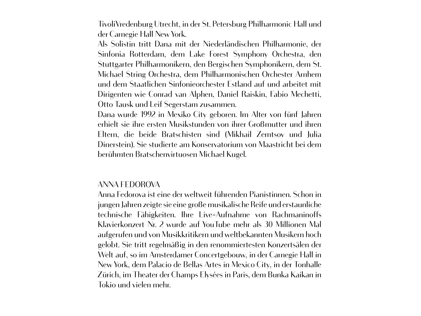TivoliVredenburg Utrecht, in der St. Petersburg Philharmonic Hall und der Carnegie Hall New York.

Als Solistin tritt Dana mit der Niederländischen Philharmonie, der Sinfonia Rotterdam, dem Lake Forest Symphony Orchestra, den Stuttgarter Philharmonikern, den Bergischen Symphonikern, dem St. Michael String Orchestra, dem Philharmonischen Orchester Arnhem und dem Staatlichen Sinfonieorchester Estland auf und arbeitet mit Dirigenten wie Conrad van Alphen, Daniel Raiskin, Fabio Mechetti, Otto Tausk und Leif Segerstam zusammen.

Dana wurde 1992 in Mexiko City geboren. Im Alter von fünf Jahren erhielt sie ihre ersten Musikstunden von ihrer Großmutter und ihren Eltern, die beide Bratschisten sind (Mikhail Zemtsov und Julia Dinerstein). Sie studierte am Konservatorium von Maastricht bei dem berühmten Bratschenvirtuosen Michael Kugel.

#### ANNA FEDOROVA

Anna Fedorova ist eine der weltweit führenden Pianistinnen. Schon in jungen Jahren zeigte sie eine große musikalische Reife und erstaunliche technische Fähigkeiten. Ihre Live-Aufnahme von Rachmaninoffs Klavierkonzert Nr. 2 wurde auf YouTube mehr als 30 Millionen Mal aufgerufen und von Musikkritikern und weltbekannten Musikern hoch gelobt. Sie tritt regelmäßig in den renommiertesten Konzertsälen der Welt auf, so im Amsterdamer Concertgebouw, in der Carnegie Hall in New York, dem Palacio de Bellas Artes in Mexico City, in der Tonhalle Zürich, im Theater der Champs Elysées in Paris, dem Bunka Kaikan in Tokio und vielen mehr.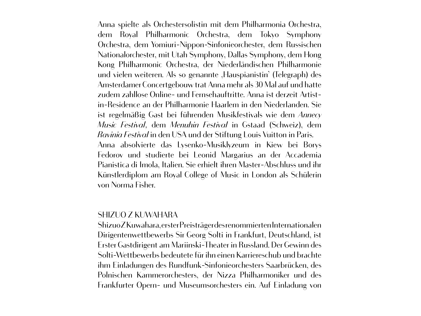Anna spielte als Orchestersolistin mit dem Philharmonia Orchestra, dem Royal Philharmonic Orchestra, dem Tokyo Symphony Orchestra, dem Yomiuri-Nippon-Sinfonieorchester, dem Russischen Nationalorchester, mit Utah Symphony, Dallas Symphony, dem Hong Kong Philharmonic Orchestra, der Niederländischen Philharmonie und vielen weiteren. Als so genannte "Hauspianistin' (Telegraph) des Amsterdamer Concertgebouw trat Anna mehr als 30 Mal auf und hatte zudem zahllose Online- und Fernsehauftritte. Anna ist derzeit Artistin-Residence an der Philharmonie Haarlem in den Niederlanden. Sie ist regelmäßig Gast bei führenden Musikfestivals wie dem *Annecy Music Festival,* dem *Menuhin Festival* in Gstaad (Schweiz), dem *Ravinia Festival* in den USA und der Stiftung Louis Vuitton in Paris. Anna absolvierte das Lysenko-Musiklyzeum in Kiew bei Borys Fedorov und studierte bei Leonid Margarius an der Accademia Pianistica di Imola, Italien. Sie erhielt ihren Master-Abschluss und ihr Künstlerdiplom am Royal College of Music in London als Schülerin von Norma Fisher.

#### SHIZUO Z KUWAHARA

Shizuo Z Kuwahara, erster Preisträger des renommierten Internationalen Dirigentenwettbewerbs Sir Georg Solti in Frankfurt, Deutschland, ist Erster Gastdirigent am Mariinski-Theater in Russland. Der Gewinn des Solti-Wettbewerbs bedeutete für ihn einen Karriereschub und brachte ihm Einladungen des Rundfunk-Sinfonieorchesters Saarbrücken, des Polnischen Kammerorchesters, der Nizza Philharmoniker und des Frankfurter Opern- und Museumsorchesters ein. Auf Einladung von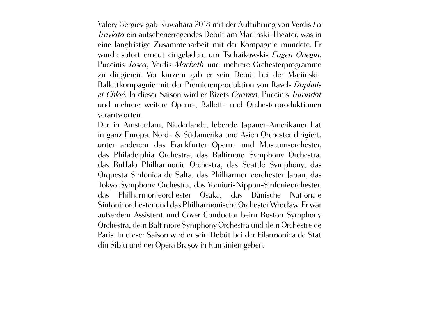Valery Gergiev gab Kuwahara 2018 mit der Aufführung von Verdis *La Traviata* ein aufsehenerregendes Debüt am Mariinski-Theater, was in eine langfristige Zusammenarbeit mit der Kompagnie mündete. Er wurde sofort erneut eingeladen, um Tschaikowskis *Eugen Onegin*, Puccinis *Tosca*, Verdis *Macbeth* und mehrere Orchesterprogramme zu dirigieren. Vor kurzem gab er sein Debüt bei der Mariinski-Ballettkompagnie mit der Premierenproduktion von Ravels *Daphnis et Chloé*. In dieser Saison wird er Bizets *Carmen*, Puccinis *Turandot* und mehrere weitere Opern-, Ballett- und Orchesterproduktionen verantworten.

Der in Amsterdam, Niederlande, lebende Japaner-Amerikaner hat in ganz Europa, Nord- & Südamerika und Asien Orchester dirigiert, unter anderem das Frankfurter Opern- und Museumsorchester, das Philadelphia Orchestra, das Baltimore Symphony Orchestra, das Buffalo Philharmonic Orchestra, das Seattle Symphony, das Orquesta Sinfonica de Salta, das Philharmonieorchester Japan, das Tokyo Symphony Orchestra, das Yomiuri-Nippon-Sinfonieorchester, das Philharmonieorchester Osaka, das Dänische Nationale Sinfonieorchester und das Philharmonische Orchester Wrocław. Er war außerdem Assistent und Cover Conductor beim Boston Symphony Orchestra, dem Baltimore Symphony Orchestra und dem Orchestre de Paris. In dieser Saison wird er sein Debüt bei der Filarmonica de Stat din Sibiu und der Opera Brașov in Rumänien geben.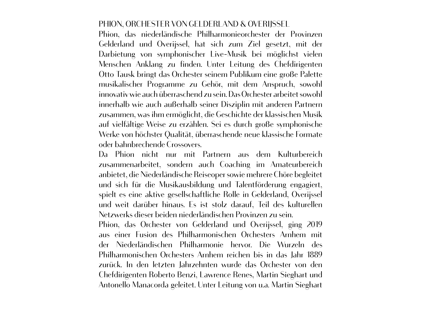### PHION, ORCHESTER VON GELDERLAND & OVERIJSSEL

Phion, das niederländische Philharmonieorchester der Provinzen Gelderland und Overijssel, hat sich zum Ziel gesetzt, mit der Darbietung von symphonischer Live-Musik bei möglichst vielen Menschen Anklang zu finden. Unter Leitung des Chefdirigenten Otto Tausk bringt das Orchester seinem Publikum eine große Palette musikalischer Programme zu Gehör, mit dem Anspruch, sowohl innovativ wie auch überraschend zu sein. Das Orchester arbeitet sowohl innerhalb wie auch außerhalb seiner Disziplin mit anderen Partnern zusammen, was ihm ermöglicht, die Geschichte der klassischen Musik auf vielfältige Weise zu erzählen. Sei es durch große symphonische Werke von höchster Qualität, überraschende neue klassische Formate oder bahnbrechende Crossovers.

Da Phion nicht nur mit Partnern aus dem Kulturbereich zusammenarbeitet, sondern auch Coaching im Amateurbereich anbietet, die Niederländische Reiseoper sowie mehrere Chöre begleitet und sich für die Musikausbildung und Talentförderung engagiert, spielt es eine aktive gesellschaftliche Rolle in Gelderland, Overijssel und weit darüber hinaus. Es ist stolz darauf, Teil des kulturellen Netzwerks dieser beiden niederländischen Provinzen zu sein.

Phion, das Orchester von Gelderland und Overijssel, ging 2019 aus einer Fusion des Philharmonischen Orchesters Arnhem mit der Niederländischen Philharmonie hervor. Die Wurzeln des Philharmonischen Orchesters Arnhem reichen bis in das Jahr 1889 zurück. In den letzten Jahrzehnten wurde das Orchester von den Chefdirigenten Roberto Benzi, Lawrence Renes, Martin Sieghart und Antonello Manacorda geleitet. Unter Leitung von u.a. Martin Sieghart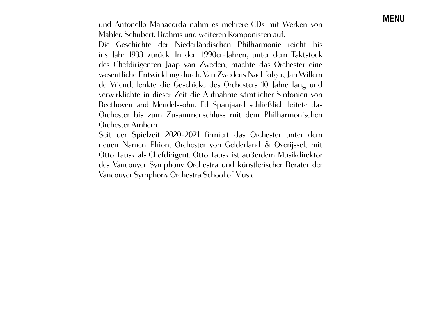und Antonello Manacorda nahm es mehrere CDs mit Werken von Mahler, Schubert, Brahms und weiteren Komponisten auf.

Die Geschichte der Niederländischen Philharmonie reicht bis ins Jahr 1933 zurück. In den 1990er-Jahren, unter dem Taktstock des Chefdirigenten Jaap van Zweden, machte das Orchester eine wesentliche Entwicklung durch. Van Zwedens Nachfolger, Jan Willem de Vriend, lenkte die Geschicke des Orchesters 10 Jahre lang und verwirklichte in dieser Zeit die Aufnahme sämtlicher Sinfonien von Beethoven and Mendelssohn. Ed Spanjaard schließlich leitete das Orchester bis zum Zusammenschluss mit dem Philharmonischen Orchester Arnhem.

Seit der Spielzeit 2020-2021 firmiert das Orchester unter dem neuen Namen Phion, Orchester von Gelderland & Overijssel, mit Otto Tausk als Chefdirigent. Otto Tausk ist außerdem Musikdirektor des Vancouver Symphony Orchestra und künstlerischer Berater der Vancouver Symphony Orchestra School of Music.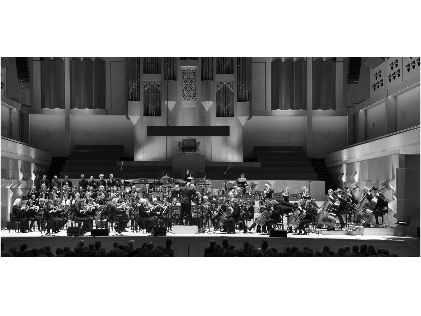